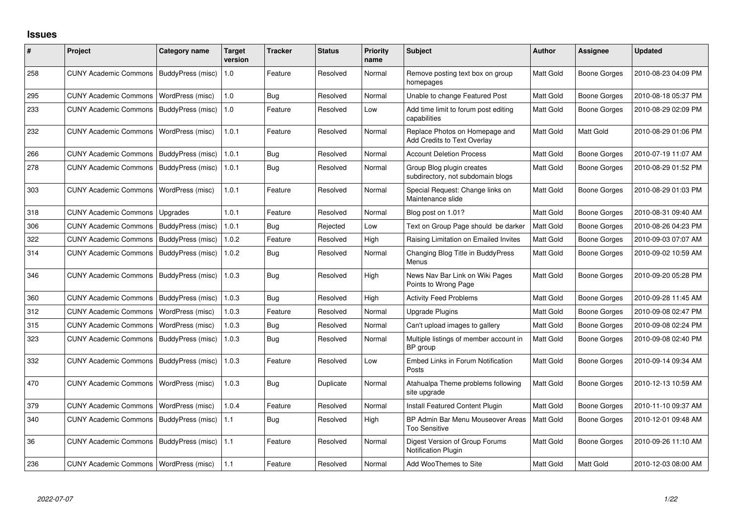## **Issues**

| #   | Project                                  | <b>Category name</b> | Target<br>version | <b>Tracker</b> | <b>Status</b> | <b>Priority</b><br>name | Subject                                                        | <b>Author</b>    | <b>Assignee</b>     | <b>Updated</b>      |
|-----|------------------------------------------|----------------------|-------------------|----------------|---------------|-------------------------|----------------------------------------------------------------|------------------|---------------------|---------------------|
| 258 | <b>CUNY Academic Commons</b>             | BuddyPress (misc)    | 1.0               | Feature        | Resolved      | Normal                  | Remove posting text box on group<br>homepages                  | Matt Gold        | <b>Boone Gorges</b> | 2010-08-23 04:09 PM |
| 295 | <b>CUNY Academic Commons</b>             | WordPress (misc)     | 1.0               | Bug            | Resolved      | Normal                  | Unable to change Featured Post                                 | Matt Gold        | Boone Gorges        | 2010-08-18 05:37 PM |
| 233 | <b>CUNY Academic Commons</b>             | BuddyPress (misc)    | 1.0               | Feature        | Resolved      | Low                     | Add time limit to forum post editing<br>capabilities           | Matt Gold        | Boone Gorges        | 2010-08-29 02:09 PM |
| 232 | <b>CUNY Academic Commons</b>             | WordPress (misc)     | 1.0.1             | Feature        | Resolved      | Normal                  | Replace Photos on Homepage and<br>Add Credits to Text Overlay  | Matt Gold        | Matt Gold           | 2010-08-29 01:06 PM |
| 266 | <b>CUNY Academic Commons</b>             | BuddyPress (misc)    | 1.0.1             | <b>Bug</b>     | Resolved      | Normal                  | <b>Account Deletion Process</b>                                | Matt Gold        | Boone Gorges        | 2010-07-19 11:07 AM |
| 278 | <b>CUNY Academic Commons</b>             | BuddyPress (misc)    | 1.0.1             | <b>Bug</b>     | Resolved      | Normal                  | Group Blog plugin creates<br>subdirectory, not subdomain blogs | <b>Matt Gold</b> | <b>Boone Gorges</b> | 2010-08-29 01:52 PM |
| 303 | <b>CUNY Academic Commons</b>             | WordPress (misc)     | 1.0.1             | Feature        | Resolved      | Normal                  | Special Request: Change links on<br>Maintenance slide          | <b>Matt Gold</b> | Boone Gorges        | 2010-08-29 01:03 PM |
| 318 | <b>CUNY Academic Commons</b>             | Upgrades             | 1.0.1             | Feature        | Resolved      | Normal                  | Blog post on 1.01?                                             | Matt Gold        | <b>Boone Gorges</b> | 2010-08-31 09:40 AM |
| 306 | <b>CUNY Academic Commons</b>             | BuddyPress (misc)    | 1.0.1             | Bug            | Rejected      | Low                     | Text on Group Page should be darker                            | Matt Gold        | Boone Gorges        | 2010-08-26 04:23 PM |
| 322 | <b>CUNY Academic Commons</b>             | BuddyPress (misc)    | 1.0.2             | Feature        | Resolved      | High                    | Raising Limitation on Emailed Invites                          | Matt Gold        | <b>Boone Gorges</b> | 2010-09-03 07:07 AM |
| 314 | <b>CUNY Academic Commons</b>             | BuddyPress (misc)    | 1.0.2             | Bug            | Resolved      | Normal                  | Changing Blog Title in BuddyPress<br>Menus                     | Matt Gold        | Boone Gorges        | 2010-09-02 10:59 AM |
| 346 | <b>CUNY Academic Commons</b>             | BuddyPress (misc)    | 1.0.3             | Bug            | Resolved      | High                    | News Nav Bar Link on Wiki Pages<br>Points to Wrong Page        | Matt Gold        | <b>Boone Gorges</b> | 2010-09-20 05:28 PM |
| 360 | <b>CUNY Academic Commons</b>             | BuddyPress (misc)    | 1.0.3             | Bug            | Resolved      | High                    | <b>Activity Feed Problems</b>                                  | Matt Gold        | Boone Gorges        | 2010-09-28 11:45 AM |
| 312 | <b>CUNY Academic Commons</b>             | WordPress (misc)     | 1.0.3             | Feature        | Resolved      | Normal                  | <b>Upgrade Plugins</b>                                         | Matt Gold        | Boone Gorges        | 2010-09-08 02:47 PM |
| 315 | <b>CUNY Academic Commons</b>             | WordPress (misc)     | 1.0.3             | Bug            | Resolved      | Normal                  | Can't upload images to gallery                                 | Matt Gold        | Boone Gorges        | 2010-09-08 02:24 PM |
| 323 | <b>CUNY Academic Commons</b>             | BuddyPress (misc)    | 1.0.3             | Bug            | Resolved      | Normal                  | Multiple listings of member account in<br>BP group             | Matt Gold        | Boone Gorges        | 2010-09-08 02:40 PM |
| 332 | <b>CUNY Academic Commons</b>             | BuddyPress (misc)    | 1.0.3             | Feature        | Resolved      | Low                     | Embed Links in Forum Notification<br>Posts                     | Matt Gold        | <b>Boone Gorges</b> | 2010-09-14 09:34 AM |
| 470 | <b>CUNY Academic Commons</b>             | WordPress (misc)     | 1.0.3             | Bug            | Duplicate     | Normal                  | Atahualpa Theme problems following<br>site upgrade             | Matt Gold        | <b>Boone Gorges</b> | 2010-12-13 10:59 AM |
| 379 | <b>CUNY Academic Commons</b>             | WordPress (misc)     | 1.0.4             | Feature        | Resolved      | Normal                  | Install Featured Content Plugin                                | Matt Gold        | Boone Gorges        | 2010-11-10 09:37 AM |
| 340 | <b>CUNY Academic Commons</b>             | BuddyPress (misc)    | 1.1               | Bug            | Resolved      | High                    | BP Admin Bar Menu Mouseover Areas<br><b>Too Sensitive</b>      | Matt Gold        | Boone Gorges        | 2010-12-01 09:48 AM |
| 36  | <b>CUNY Academic Commons</b>             | BuddyPress (misc)    | 1.1               | Feature        | Resolved      | Normal                  | Digest Version of Group Forums<br>Notification Plugin          | Matt Gold        | Boone Gorges        | 2010-09-26 11:10 AM |
| 236 | CUNY Academic Commons   WordPress (misc) |                      | 1.1               | Feature        | Resolved      | Normal                  | Add WooThemes to Site                                          | <b>Matt Gold</b> | Matt Gold           | 2010-12-03 08:00 AM |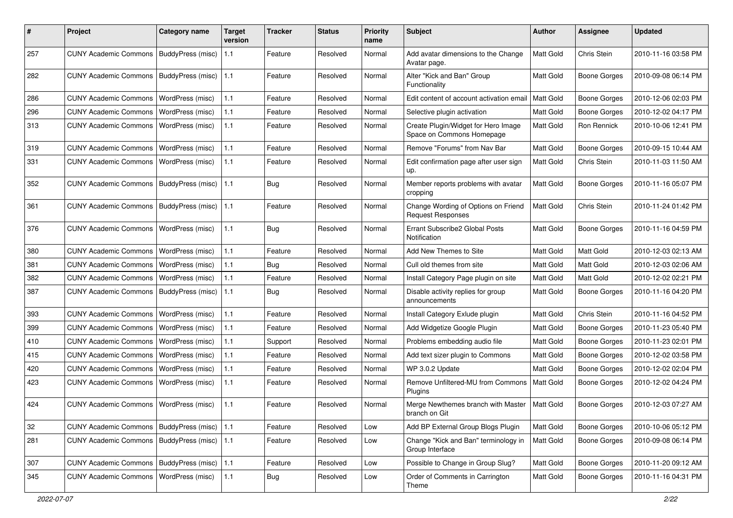| #   | Project                                   | Category name     | <b>Target</b><br>version | <b>Tracker</b> | <b>Status</b> | <b>Priority</b><br>name | <b>Subject</b>                                                   | <b>Author</b>    | Assignee            | <b>Updated</b>      |
|-----|-------------------------------------------|-------------------|--------------------------|----------------|---------------|-------------------------|------------------------------------------------------------------|------------------|---------------------|---------------------|
| 257 | <b>CUNY Academic Commons</b>              | BuddyPress (misc) | 1.1                      | Feature        | Resolved      | Normal                  | Add avatar dimensions to the Change<br>Avatar page.              | <b>Matt Gold</b> | Chris Stein         | 2010-11-16 03:58 PM |
| 282 | <b>CUNY Academic Commons</b>              | BuddyPress (misc) | 1.1                      | Feature        | Resolved      | Normal                  | Alter "Kick and Ban" Group<br>Functionality                      | Matt Gold        | <b>Boone Gorges</b> | 2010-09-08 06:14 PM |
| 286 | <b>CUNY Academic Commons</b>              | WordPress (misc)  | 1.1                      | Feature        | Resolved      | Normal                  | Edit content of account activation email                         | Matt Gold        | Boone Gorges        | 2010-12-06 02:03 PM |
| 296 | <b>CUNY Academic Commons</b>              | WordPress (misc)  | 1.1                      | Feature        | Resolved      | Normal                  | Selective plugin activation                                      | Matt Gold        | Boone Gorges        | 2010-12-02 04:17 PM |
| 313 | <b>CUNY Academic Commons</b>              | WordPress (misc)  | 1.1                      | Feature        | Resolved      | Normal                  | Create Plugin/Widget for Hero Image<br>Space on Commons Homepage | Matt Gold        | Ron Rennick         | 2010-10-06 12:41 PM |
| 319 | <b>CUNY Academic Commons</b>              | WordPress (misc)  | 1.1                      | Feature        | Resolved      | Normal                  | Remove "Forums" from Nav Bar                                     | Matt Gold        | Boone Gorges        | 2010-09-15 10:44 AM |
| 331 | <b>CUNY Academic Commons</b>              | WordPress (misc)  | 1.1                      | Feature        | Resolved      | Normal                  | Edit confirmation page after user sign<br>up.                    | Matt Gold        | Chris Stein         | 2010-11-03 11:50 AM |
| 352 | <b>CUNY Academic Commons</b>              | BuddyPress (misc) | 1.1                      | Bug            | Resolved      | Normal                  | Member reports problems with avatar<br>cropping                  | <b>Matt Gold</b> | <b>Boone Gorges</b> | 2010-11-16 05:07 PM |
| 361 | <b>CUNY Academic Commons</b>              | BuddyPress (misc) | 1.1                      | Feature        | Resolved      | Normal                  | Change Wording of Options on Friend<br><b>Request Responses</b>  | <b>Matt Gold</b> | Chris Stein         | 2010-11-24 01:42 PM |
| 376 | <b>CUNY Academic Commons</b>              | WordPress (misc)  | 1.1                      | Bug            | Resolved      | Normal                  | Errant Subscribe2 Global Posts<br>Notification                   | Matt Gold        | Boone Gorges        | 2010-11-16 04:59 PM |
| 380 | <b>CUNY Academic Commons</b>              | WordPress (misc)  | 1.1                      | Feature        | Resolved      | Normal                  | Add New Themes to Site                                           | Matt Gold        | Matt Gold           | 2010-12-03 02:13 AM |
| 381 | <b>CUNY Academic Commons</b>              | WordPress (misc)  | 1.1                      | <b>Bug</b>     | Resolved      | Normal                  | Cull old themes from site                                        | Matt Gold        | Matt Gold           | 2010-12-03 02:06 AM |
| 382 | <b>CUNY Academic Commons</b>              | WordPress (misc)  | 1.1                      | Feature        | Resolved      | Normal                  | Install Category Page plugin on site                             | Matt Gold        | Matt Gold           | 2010-12-02 02:21 PM |
| 387 | <b>CUNY Academic Commons</b>              | BuddyPress (misc) | 1.1                      | Bug            | Resolved      | Normal                  | Disable activity replies for group<br>announcements              | Matt Gold        | Boone Gorges        | 2010-11-16 04:20 PM |
| 393 | <b>CUNY Academic Commons</b>              | WordPress (misc)  | 1.1                      | Feature        | Resolved      | Normal                  | Install Category Exlude plugin                                   | Matt Gold        | Chris Stein         | 2010-11-16 04:52 PM |
| 399 | <b>CUNY Academic Commons</b>              | WordPress (misc)  | 1.1                      | Feature        | Resolved      | Normal                  | Add Widgetize Google Plugin                                      | Matt Gold        | Boone Gorges        | 2010-11-23 05:40 PM |
| 410 | <b>CUNY Academic Commons</b>              | WordPress (misc)  | 1.1                      | Support        | Resolved      | Normal                  | Problems embedding audio file                                    | Matt Gold        | <b>Boone Gorges</b> | 2010-11-23 02:01 PM |
| 415 | <b>CUNY Academic Commons</b>              | WordPress (misc)  | 1.1                      | Feature        | Resolved      | Normal                  | Add text sizer plugin to Commons                                 | Matt Gold        | Boone Gorges        | 2010-12-02 03:58 PM |
| 420 | <b>CUNY Academic Commons</b>              | WordPress (misc)  | 1.1                      | Feature        | Resolved      | Normal                  | WP 3.0.2 Update                                                  | Matt Gold        | Boone Gorges        | 2010-12-02 02:04 PM |
| 423 | <b>CUNY Academic Commons</b>              | WordPress (misc)  | 1.1                      | Feature        | Resolved      | Normal                  | Remove Unfiltered-MU from Commons<br>Plugins                     | Matt Gold        | Boone Gorges        | 2010-12-02 04:24 PM |
| 424 | CUNY Academic Commons   WordPress (misc)  |                   | 1.1                      | Feature        | Resolved      | Normal                  | Merge Newthemes branch with Master<br>branch on Git              | Matt Gold        | Boone Gorges        | 2010-12-03 07:27 AM |
| 32  | CUNY Academic Commons   BuddyPress (misc) |                   | 1.1                      | Feature        | Resolved      | Low                     | Add BP External Group Blogs Plugin                               | Matt Gold        | <b>Boone Gorges</b> | 2010-10-06 05:12 PM |
| 281 | CUNY Academic Commons   BuddyPress (misc) |                   | $\vert$ 1.1              | Feature        | Resolved      | Low                     | Change "Kick and Ban" terminology in<br>Group Interface          | Matt Gold        | <b>Boone Gorges</b> | 2010-09-08 06:14 PM |
| 307 | CUNY Academic Commons   BuddyPress (misc) |                   | 1.1                      | Feature        | Resolved      | Low                     | Possible to Change in Group Slug?                                | Matt Gold        | Boone Gorges        | 2010-11-20 09:12 AM |
| 345 | CUNY Academic Commons   WordPress (misc)  |                   | 1.1                      | <b>Bug</b>     | Resolved      | Low                     | Order of Comments in Carrington<br>Theme                         | Matt Gold        | Boone Gorges        | 2010-11-16 04:31 PM |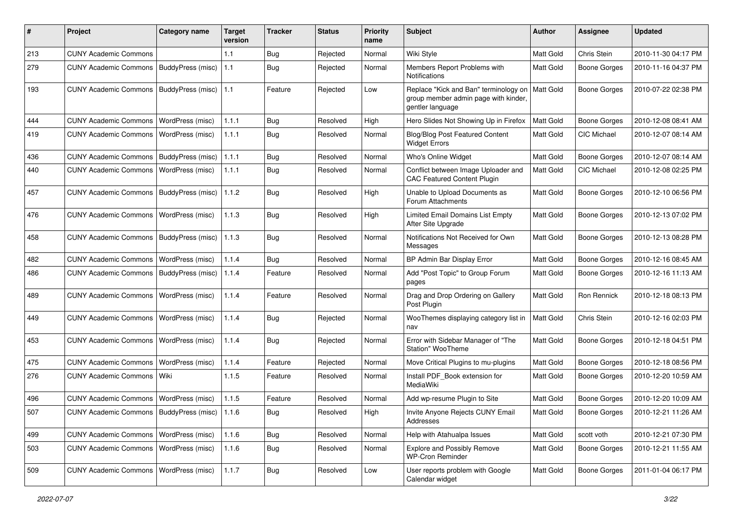| #   | Project                                           | <b>Category name</b> | <b>Target</b><br>version | <b>Tracker</b> | <b>Status</b> | <b>Priority</b><br>name | Subject                                                                                           | <b>Author</b>    | <b>Assignee</b>     | <b>Updated</b>      |
|-----|---------------------------------------------------|----------------------|--------------------------|----------------|---------------|-------------------------|---------------------------------------------------------------------------------------------------|------------------|---------------------|---------------------|
| 213 | <b>CUNY Academic Commons</b>                      |                      | 1.1                      | Bug            | Rejected      | Normal                  | Wiki Style                                                                                        | Matt Gold        | Chris Stein         | 2010-11-30 04:17 PM |
| 279 | <b>CUNY Academic Commons</b>                      | BuddyPress (misc)    | 1.1                      | Bug            | Rejected      | Normal                  | Members Report Problems with<br><b>Notifications</b>                                              | Matt Gold        | <b>Boone Gorges</b> | 2010-11-16 04:37 PM |
| 193 | <b>CUNY Academic Commons</b>                      | BuddyPress (misc)    | 1.1                      | Feature        | Rejected      | Low                     | Replace "Kick and Ban" terminology on<br>group member admin page with kinder,<br>gentler language | <b>Matt Gold</b> | Boone Gorges        | 2010-07-22 02:38 PM |
| 444 | <b>CUNY Academic Commons</b>                      | WordPress (misc)     | 1.1.1                    | <b>Bug</b>     | Resolved      | High                    | Hero Slides Not Showing Up in Firefox                                                             | Matt Gold        | <b>Boone Gorges</b> | 2010-12-08 08:41 AM |
| 419 | <b>CUNY Academic Commons</b>                      | WordPress (misc)     | 1.1.1                    | Bug            | Resolved      | Normal                  | Blog/Blog Post Featured Content<br><b>Widget Errors</b>                                           | Matt Gold        | <b>CIC Michael</b>  | 2010-12-07 08:14 AM |
| 436 | <b>CUNY Academic Commons</b>                      | BuddyPress (misc)    | 1.1.1                    | Bug            | Resolved      | Normal                  | Who's Online Widget                                                                               | Matt Gold        | Boone Gorges        | 2010-12-07 08:14 AM |
| 440 | <b>CUNY Academic Commons</b>                      | WordPress (misc)     | 1.1.1                    | <b>Bug</b>     | Resolved      | Normal                  | Conflict between Image Uploader and<br><b>CAC Featured Content Plugin</b>                         | <b>Matt Gold</b> | <b>CIC Michael</b>  | 2010-12-08 02:25 PM |
| 457 | <b>CUNY Academic Commons</b>                      | BuddyPress (misc)    | 1.1.2                    | Bug            | Resolved      | High                    | Unable to Upload Documents as<br>Forum Attachments                                                | Matt Gold        | Boone Gorges        | 2010-12-10 06:56 PM |
| 476 | <b>CUNY Academic Commons</b>                      | WordPress (misc)     | 1.1.3                    | Bug            | Resolved      | High                    | Limited Email Domains List Empty<br>After Site Upgrade                                            | Matt Gold        | <b>Boone Gorges</b> | 2010-12-13 07:02 PM |
| 458 | <b>CUNY Academic Commons</b>                      | BuddyPress (misc)    | 1.1.3                    | Bug            | Resolved      | Normal                  | Notifications Not Received for Own<br>Messages                                                    | <b>Matt Gold</b> | <b>Boone Gorges</b> | 2010-12-13 08:28 PM |
| 482 | <b>CUNY Academic Commons</b>                      | WordPress (misc)     | 1.1.4                    | Bug            | Resolved      | Normal                  | BP Admin Bar Display Error                                                                        | Matt Gold        | <b>Boone Gorges</b> | 2010-12-16 08:45 AM |
| 486 | <b>CUNY Academic Commons</b>                      | BuddyPress (misc)    | 1.1.4                    | Feature        | Resolved      | Normal                  | Add "Post Topic" to Group Forum<br>pages                                                          | <b>Matt Gold</b> | Boone Gorges        | 2010-12-16 11:13 AM |
| 489 | <b>CUNY Academic Commons</b>                      | WordPress (misc)     | 1.1.4                    | Feature        | Resolved      | Normal                  | Drag and Drop Ordering on Gallery<br>Post Plugin                                                  | <b>Matt Gold</b> | Ron Rennick         | 2010-12-18 08:13 PM |
| 449 | <b>CUNY Academic Commons</b>                      | WordPress (misc)     | 1.1.4                    | Bug            | Rejected      | Normal                  | WooThemes displaying category list in<br>nav                                                      | Matt Gold        | Chris Stein         | 2010-12-16 02:03 PM |
| 453 | <b>CUNY Academic Commons</b>                      | WordPress (misc)     | 1.1.4                    | Bug            | Rejected      | Normal                  | Error with Sidebar Manager of "The<br>Station" WooTheme                                           | Matt Gold        | <b>Boone Gorges</b> | 2010-12-18 04:51 PM |
| 475 | <b>CUNY Academic Commons</b>                      | WordPress (misc)     | 1.1.4                    | Feature        | Rejected      | Normal                  | Move Critical Plugins to mu-plugins                                                               | Matt Gold        | <b>Boone Gorges</b> | 2010-12-18 08:56 PM |
| 276 | <b>CUNY Academic Commons</b>                      | Wiki                 | 1.1.5                    | Feature        | Resolved      | Normal                  | Install PDF_Book extension for<br>MediaWiki                                                       | <b>Matt Gold</b> | Boone Gorges        | 2010-12-20 10:59 AM |
| 496 | <b>CUNY Academic Commons</b>                      | WordPress (misc)     | 1.1.5                    | Feature        | Resolved      | Normal                  | Add wp-resume Plugin to Site                                                                      | <b>Matt Gold</b> | Boone Gorges        | 2010-12-20 10:09 AM |
| 507 | CUNY Academic Commons   BuddyPress (misc)   1.1.6 |                      |                          | Bug            | Resolved      | High                    | Invite Anyone Rejects CUNY Email<br>Addresses                                                     | Matt Gold        | Boone Gorges        | 2010-12-21 11:26 AM |
| 499 | CUNY Academic Commons   WordPress (misc)          |                      | 1.1.6                    | Bug            | Resolved      | Normal                  | Help with Atahualpa Issues                                                                        | Matt Gold        | scott voth          | 2010-12-21 07:30 PM |
| 503 | <b>CUNY Academic Commons</b>                      | WordPress (misc)     | 1.1.6                    | Bug            | Resolved      | Normal                  | <b>Explore and Possibly Remove</b><br><b>WP-Cron Reminder</b>                                     | Matt Gold        | Boone Gorges        | 2010-12-21 11:55 AM |
| 509 | <b>CUNY Academic Commons</b>                      | WordPress (misc)     | 1.1.7                    | Bug            | Resolved      | Low                     | User reports problem with Google<br>Calendar widget                                               | Matt Gold        | <b>Boone Gorges</b> | 2011-01-04 06:17 PM |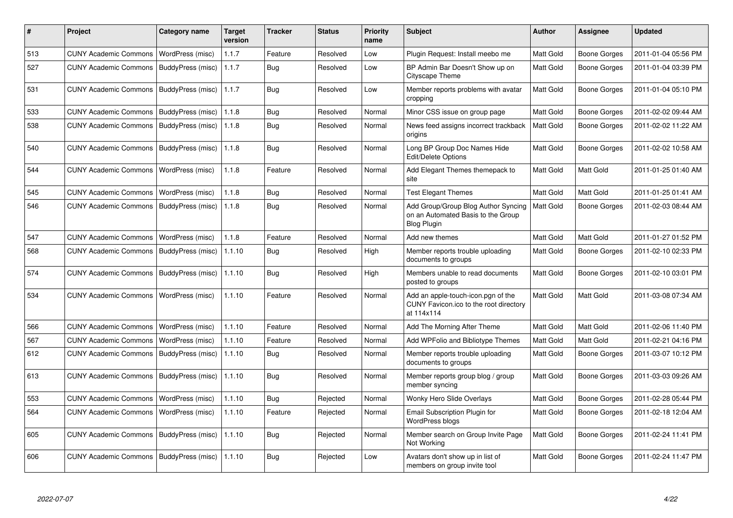| #   | <b>Project</b>               | Category name     | <b>Target</b><br>version | Tracker    | <b>Status</b> | <b>Priority</b><br>name | <b>Subject</b>                                                                                  | Author           | Assignee            | <b>Updated</b>      |
|-----|------------------------------|-------------------|--------------------------|------------|---------------|-------------------------|-------------------------------------------------------------------------------------------------|------------------|---------------------|---------------------|
| 513 | <b>CUNY Academic Commons</b> | WordPress (misc)  | 1.1.7                    | Feature    | Resolved      | Low                     | Plugin Request: Install meebo me                                                                | Matt Gold        | Boone Gorges        | 2011-01-04 05:56 PM |
| 527 | <b>CUNY Academic Commons</b> | BuddyPress (misc) | 1.1.7                    | <b>Bug</b> | Resolved      | Low                     | BP Admin Bar Doesn't Show up on<br>Cityscape Theme                                              | Matt Gold        | <b>Boone Gorges</b> | 2011-01-04 03:39 PM |
| 531 | <b>CUNY Academic Commons</b> | BuddyPress (misc) | 1.1.7                    | Bug        | Resolved      | Low                     | Member reports problems with avatar<br>cropping                                                 | Matt Gold        | Boone Gorges        | 2011-01-04 05:10 PM |
| 533 | <b>CUNY Academic Commons</b> | BuddyPress (misc) | 1.1.8                    | Bug        | Resolved      | Normal                  | Minor CSS issue on group page                                                                   | Matt Gold        | Boone Gorges        | 2011-02-02 09:44 AM |
| 538 | <b>CUNY Academic Commons</b> | BuddyPress (misc) | 1.1.8                    | <b>Bug</b> | Resolved      | Normal                  | News feed assigns incorrect trackback<br>origins                                                | Matt Gold        | Boone Gorges        | 2011-02-02 11:22 AM |
| 540 | <b>CUNY Academic Commons</b> | BuddyPress (misc) | 1.1.8                    | <b>Bug</b> | Resolved      | Normal                  | Long BP Group Doc Names Hide<br>Edit/Delete Options                                             | Matt Gold        | Boone Gorges        | 2011-02-02 10:58 AM |
| 544 | <b>CUNY Academic Commons</b> | WordPress (misc)  | 1.1.8                    | Feature    | Resolved      | Normal                  | Add Elegant Themes themepack to<br>site                                                         | Matt Gold        | Matt Gold           | 2011-01-25 01:40 AM |
| 545 | <b>CUNY Academic Commons</b> | WordPress (misc)  | 1.1.8                    | Bug        | Resolved      | Normal                  | <b>Test Elegant Themes</b>                                                                      | Matt Gold        | Matt Gold           | 2011-01-25 01:41 AM |
| 546 | <b>CUNY Academic Commons</b> | BuddyPress (misc) | 1.1.8                    | Bug        | Resolved      | Normal                  | Add Group/Group Blog Author Syncing<br>on an Automated Basis to the Group<br><b>Blog Plugin</b> | Matt Gold        | Boone Gorges        | 2011-02-03 08:44 AM |
| 547 | <b>CUNY Academic Commons</b> | WordPress (misc)  | 1.1.8                    | Feature    | Resolved      | Normal                  | Add new themes                                                                                  | Matt Gold        | Matt Gold           | 2011-01-27 01:52 PM |
| 568 | <b>CUNY Academic Commons</b> | BuddyPress (misc) | 1.1.10                   | <b>Bug</b> | Resolved      | High                    | Member reports trouble uploading<br>documents to groups                                         | <b>Matt Gold</b> | Boone Gorges        | 2011-02-10 02:33 PM |
| 574 | <b>CUNY Academic Commons</b> | BuddyPress (misc) | 1.1.10                   | Bug        | Resolved      | High                    | Members unable to read documents<br>posted to groups                                            | Matt Gold        | Boone Gorges        | 2011-02-10 03:01 PM |
| 534 | <b>CUNY Academic Commons</b> | WordPress (misc)  | 1.1.10                   | Feature    | Resolved      | Normal                  | Add an apple-touch-icon.pgn of the<br>CUNY Favicon.ico to the root directory<br>at 114x114      | Matt Gold        | Matt Gold           | 2011-03-08 07:34 AM |
| 566 | <b>CUNY Academic Commons</b> | WordPress (misc)  | 1.1.10                   | Feature    | Resolved      | Normal                  | Add The Morning After Theme                                                                     | Matt Gold        | Matt Gold           | 2011-02-06 11:40 PM |
| 567 | <b>CUNY Academic Commons</b> | WordPress (misc)  | 1.1.10                   | Feature    | Resolved      | Normal                  | Add WPFolio and Bibliotype Themes                                                               | <b>Matt Gold</b> | Matt Gold           | 2011-02-21 04:16 PM |
| 612 | <b>CUNY Academic Commons</b> | BuddyPress (misc) | 1.1.10                   | <b>Bug</b> | Resolved      | Normal                  | Member reports trouble uploading<br>documents to groups                                         | Matt Gold        | Boone Gorges        | 2011-03-07 10:12 PM |
| 613 | <b>CUNY Academic Commons</b> | BuddyPress (misc) | 1.1.10                   | Bug        | Resolved      | Normal                  | Member reports group blog / group<br>member syncing                                             | Matt Gold        | Boone Gorges        | 2011-03-03 09:26 AM |
| 553 | <b>CUNY Academic Commons</b> | WordPress (misc)  | 1.1.10                   | <b>Bug</b> | Rejected      | Normal                  | <b>Wonky Hero Slide Overlays</b>                                                                | Matt Gold        | Boone Gorges        | 2011-02-28 05:44 PM |
| 564 | <b>CUNY Academic Commons</b> | WordPress (misc)  | 1.1.10                   | Feature    | Rejected      | Normal                  | <b>Email Subscription Plugin for</b><br>WordPress blogs                                         | <b>Matt Gold</b> | Boone Gorges        | 2011-02-18 12:04 AM |
| 605 | <b>CUNY Academic Commons</b> | BuddyPress (misc) | 1.1.10                   | <b>Bug</b> | Rejected      | Normal                  | Member search on Group Invite Page<br>Not Working                                               | Matt Gold        | Boone Gorges        | 2011-02-24 11:41 PM |
| 606 | <b>CUNY Academic Commons</b> | BuddyPress (misc) | 1.1.10                   | Bug        | Rejected      | Low                     | Avatars don't show up in list of<br>members on group invite tool                                | Matt Gold        | Boone Gorges        | 2011-02-24 11:47 PM |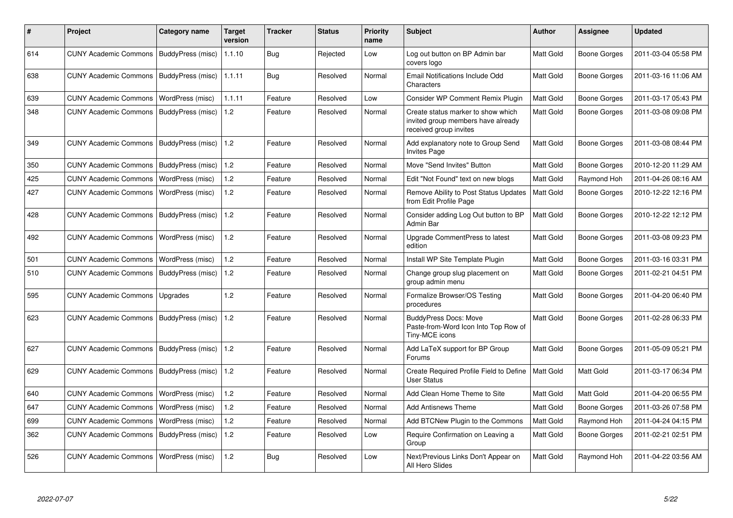| #   | <b>Project</b>                            | Category name              | <b>Target</b><br>version | <b>Tracker</b> | <b>Status</b> | <b>Priority</b><br>name | <b>Subject</b>                                                                                     | <b>Author</b> | Assignee            | <b>Updated</b>      |
|-----|-------------------------------------------|----------------------------|--------------------------|----------------|---------------|-------------------------|----------------------------------------------------------------------------------------------------|---------------|---------------------|---------------------|
| 614 | CUNY Academic Commons   BuddyPress (misc) |                            | 1.1.10                   | Bug            | Rejected      | Low                     | Log out button on BP Admin bar<br>covers logo                                                      | Matt Gold     | Boone Gorges        | 2011-03-04 05:58 PM |
| 638 | <b>CUNY Academic Commons</b>              | BuddyPress (misc)   1.1.11 |                          | <b>Bug</b>     | Resolved      | Normal                  | Email Notifications Include Odd<br>Characters                                                      | Matt Gold     | Boone Gorges        | 2011-03-16 11:06 AM |
| 639 | <b>CUNY Academic Commons</b>              | WordPress (misc)           | 1.1.11                   | Feature        | Resolved      | Low                     | Consider WP Comment Remix Plugin                                                                   | Matt Gold     | Boone Gorges        | 2011-03-17 05:43 PM |
| 348 | <b>CUNY Academic Commons</b>              | BuddyPress (misc)          | 1.2                      | Feature        | Resolved      | Normal                  | Create status marker to show which<br>invited group members have already<br>received group invites | Matt Gold     | Boone Gorges        | 2011-03-08 09:08 PM |
| 349 | <b>CUNY Academic Commons</b>              | BuddyPress (misc)          | 1.2                      | Feature        | Resolved      | Normal                  | Add explanatory note to Group Send<br><b>Invites Page</b>                                          | Matt Gold     | Boone Gorges        | 2011-03-08 08:44 PM |
| 350 | <b>CUNY Academic Commons</b>              | BuddyPress (misc)          | 1.2                      | Feature        | Resolved      | Normal                  | Move "Send Invites" Button                                                                         | Matt Gold     | <b>Boone Gorges</b> | 2010-12-20 11:29 AM |
| 425 | <b>CUNY Academic Commons</b>              | WordPress (misc)           | 1.2                      | Feature        | Resolved      | Normal                  | Edit "Not Found" text on new blogs                                                                 | Matt Gold     | Raymond Hoh         | 2011-04-26 08:16 AM |
| 427 | <b>CUNY Academic Commons</b>              | WordPress (misc)           | 1.2                      | Feature        | Resolved      | Normal                  | Remove Ability to Post Status Updates<br>from Edit Profile Page                                    | Matt Gold     | Boone Gorges        | 2010-12-22 12:16 PM |
| 428 | <b>CUNY Academic Commons</b>              | BuddyPress (misc)          | 1.2                      | Feature        | Resolved      | Normal                  | Consider adding Log Out button to BP<br>Admin Bar                                                  | Matt Gold     | Boone Gorges        | 2010-12-22 12:12 PM |
| 492 | <b>CUNY Academic Commons</b>              | WordPress (misc)           | 1.2                      | Feature        | Resolved      | Normal                  | Upgrade CommentPress to latest<br>edition                                                          | Matt Gold     | Boone Gorges        | 2011-03-08 09:23 PM |
| 501 | <b>CUNY Academic Commons</b>              | WordPress (misc)           | 1.2                      | Feature        | Resolved      | Normal                  | Install WP Site Template Plugin                                                                    | Matt Gold     | Boone Gorges        | 2011-03-16 03:31 PM |
| 510 | <b>CUNY Academic Commons</b>              | BuddyPress (misc)          | 1.2                      | Feature        | Resolved      | Normal                  | Change group slug placement on<br>group admin menu                                                 | Matt Gold     | Boone Gorges        | 2011-02-21 04:51 PM |
| 595 | <b>CUNY Academic Commons</b>              | Upgrades                   | 1.2                      | Feature        | Resolved      | Normal                  | Formalize Browser/OS Testing<br>procedures                                                         | Matt Gold     | Boone Gorges        | 2011-04-20 06:40 PM |
| 623 | <b>CUNY Academic Commons</b>              | BuddyPress (misc)          | 1.2                      | Feature        | Resolved      | Normal                  | <b>BuddyPress Docs: Move</b><br>Paste-from-Word Icon Into Top Row of<br>Tiny-MCE icons             | Matt Gold     | Boone Gorges        | 2011-02-28 06:33 PM |
| 627 | <b>CUNY Academic Commons</b>              | BuddyPress (misc)          | 1.2                      | Feature        | Resolved      | Normal                  | Add LaTeX support for BP Group<br>Forums                                                           | Matt Gold     | <b>Boone Gorges</b> | 2011-05-09 05:21 PM |
| 629 | <b>CUNY Academic Commons</b>              | BuddyPress (misc)          | 1.2                      | Feature        | Resolved      | Normal                  | Create Required Profile Field to Define<br><b>User Status</b>                                      | Matt Gold     | Matt Gold           | 2011-03-17 06:34 PM |
| 640 | <b>CUNY Academic Commons</b>              | WordPress (misc)           | 1.2                      | Feature        | Resolved      | Normal                  | Add Clean Home Theme to Site                                                                       | Matt Gold     | Matt Gold           | 2011-04-20 06:55 PM |
| 647 | <b>CUNY Academic Commons</b>              | WordPress (misc)           | 1.2                      | Feature        | Resolved      | Normal                  | Add Antisnews Theme                                                                                | Matt Gold     | Boone Gorges        | 2011-03-26 07:58 PM |
| 699 | <b>CUNY Academic Commons</b>              | WordPress (misc)           | 1.2                      | Feature        | Resolved      | Normal                  | Add BTCNew Plugin to the Commons                                                                   | Matt Gold     | Raymond Hoh         | 2011-04-24 04:15 PM |
| 362 | <b>CUNY Academic Commons</b>              | BuddyPress (misc)          | 1.2                      | Feature        | Resolved      | Low                     | Require Confirmation on Leaving a<br>Group                                                         | Matt Gold     | Boone Gorges        | 2011-02-21 02:51 PM |
| 526 | <b>CUNY Academic Commons</b>              | WordPress (misc)           | 1.2                      | Bug            | Resolved      | Low                     | Next/Previous Links Don't Appear on<br>All Hero Slides                                             | Matt Gold     | Raymond Hoh         | 2011-04-22 03:56 AM |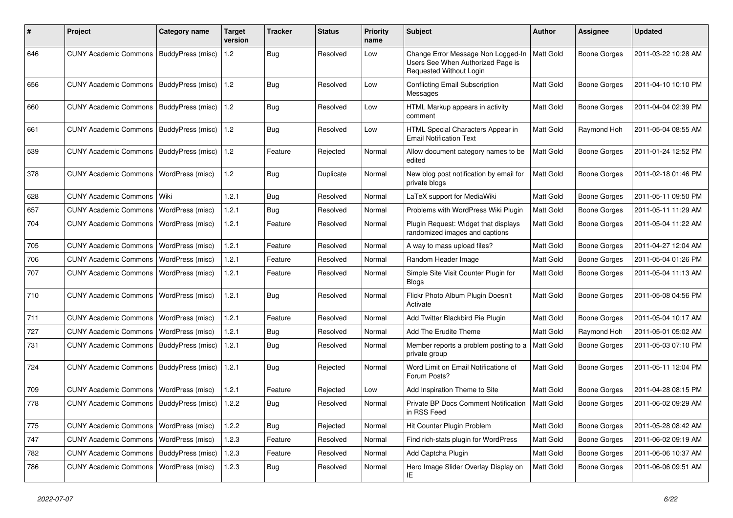| ∦   | Project                                   | <b>Category name</b>    | <b>Target</b><br>version | <b>Tracker</b> | <b>Status</b> | <b>Priority</b><br>name | Subject                                                                                            | <b>Author</b>    | Assignee            | <b>Updated</b>      |
|-----|-------------------------------------------|-------------------------|--------------------------|----------------|---------------|-------------------------|----------------------------------------------------------------------------------------------------|------------------|---------------------|---------------------|
| 646 | <b>CUNY Academic Commons</b>              | BuddyPress (misc)       | 1.2                      | Bug            | Resolved      | Low                     | Change Error Message Non Logged-In<br>Users See When Authorized Page is<br>Requested Without Login | Matt Gold        | <b>Boone Gorges</b> | 2011-03-22 10:28 AM |
| 656 | <b>CUNY Academic Commons</b>              | BuddyPress (misc)       | 1.2                      | Bug            | Resolved      | Low                     | Conflicting Email Subscription<br>Messages                                                         | <b>Matt Gold</b> | <b>Boone Gorges</b> | 2011-04-10 10:10 PM |
| 660 | <b>CUNY Academic Commons</b>              | BuddyPress (misc)       | 1.2                      | Bug            | Resolved      | Low                     | HTML Markup appears in activity<br>comment                                                         | Matt Gold        | Boone Gorges        | 2011-04-04 02:39 PM |
| 661 | <b>CUNY Academic Commons</b>              | BuddyPress (misc)       | 1.2                      | Bug            | Resolved      | Low                     | HTML Special Characters Appear in<br><b>Email Notification Text</b>                                | Matt Gold        | Raymond Hoh         | 2011-05-04 08:55 AM |
| 539 | <b>CUNY Academic Commons</b>              | BuddyPress (misc)       | 1.2                      | Feature        | Rejected      | Normal                  | Allow document category names to be<br>edited                                                      | Matt Gold        | <b>Boone Gorges</b> | 2011-01-24 12:52 PM |
| 378 | <b>CUNY Academic Commons</b>              | WordPress (misc)        | 1.2                      | Bug            | Duplicate     | Normal                  | New blog post notification by email for<br>private blogs                                           | Matt Gold        | <b>Boone Gorges</b> | 2011-02-18 01:46 PM |
| 628 | <b>CUNY Academic Commons</b>              | l Wiki                  | 1.2.1                    | Bug            | Resolved      | Normal                  | LaTeX support for MediaWiki                                                                        | Matt Gold        | Boone Gorges        | 2011-05-11 09:50 PM |
| 657 | <b>CUNY Academic Commons</b>              | WordPress (misc)        | 1.2.1                    | Bug            | Resolved      | Normal                  | Problems with WordPress Wiki Plugin                                                                | Matt Gold        | Boone Gorges        | 2011-05-11 11:29 AM |
| 704 | <b>CUNY Academic Commons</b>              | WordPress (misc)        | 1.2.1                    | Feature        | Resolved      | Normal                  | Plugin Request: Widget that displays<br>randomized images and captions                             | Matt Gold        | Boone Gorges        | 2011-05-04 11:22 AM |
| 705 | <b>CUNY Academic Commons</b>              | WordPress (misc)        | 1.2.1                    | Feature        | Resolved      | Normal                  | A way to mass upload files?                                                                        | Matt Gold        | <b>Boone Gorges</b> | 2011-04-27 12:04 AM |
| 706 | CUNY Academic Commons                     | WordPress (misc)        | 1.2.1                    | Feature        | Resolved      | Normal                  | Random Header Image                                                                                | Matt Gold        | Boone Gorges        | 2011-05-04 01:26 PM |
| 707 | <b>CUNY Academic Commons</b>              | WordPress (misc)        | 1.2.1                    | Feature        | Resolved      | Normal                  | Simple Site Visit Counter Plugin for<br><b>Blogs</b>                                               | <b>Matt Gold</b> | Boone Gorges        | 2011-05-04 11:13 AM |
| 710 | <b>CUNY Academic Commons</b>              | WordPress (misc)        | 1.2.1                    | Bug            | Resolved      | Normal                  | Flickr Photo Album Plugin Doesn't<br>Activate                                                      | Matt Gold        | Boone Gorges        | 2011-05-08 04:56 PM |
| 711 | <b>CUNY Academic Commons</b>              | WordPress (misc)        | 1.2.1                    | Feature        | Resolved      | Normal                  | Add Twitter Blackbird Pie Plugin                                                                   | Matt Gold        | <b>Boone Gorges</b> | 2011-05-04 10:17 AM |
| 727 | <b>CUNY Academic Commons</b>              | <b>WordPress (misc)</b> | 1.2.1                    | Bug            | Resolved      | Normal                  | Add The Erudite Theme                                                                              | Matt Gold        | Raymond Hoh         | 2011-05-01 05:02 AM |
| 731 | <b>CUNY Academic Commons</b>              | BuddyPress (misc)       | 1.2.1                    | Bug            | Resolved      | Normal                  | Member reports a problem posting to a<br>private group                                             | <b>Matt Gold</b> | Boone Gorges        | 2011-05-03 07:10 PM |
| 724 | <b>CUNY Academic Commons</b>              | BuddyPress (misc)       | 1.2.1                    | Bug            | Rejected      | Normal                  | Word Limit on Email Notifications of<br>Forum Posts?                                               | Matt Gold        | Boone Gorges        | 2011-05-11 12:04 PM |
| 709 | <b>CUNY Academic Commons</b>              | WordPress (misc)        | 1.2.1                    | Feature        | Rejected      | Low                     | Add Inspiration Theme to Site                                                                      | Matt Gold        | Boone Gorges        | 2011-04-28 08:15 PM |
| 778 | CUNY Academic Commons   BuddyPress (misc) |                         | 1.2.2                    | Bug            | Resolved      | Normal                  | Private BP Docs Comment Notification<br>in RSS Feed                                                | Matt Gold        | <b>Boone Gorges</b> | 2011-06-02 09:29 AM |
| 775 | CUNY Academic Commons   WordPress (misc)  |                         | 1.2.2                    | Bug            | Rejected      | Normal                  | Hit Counter Plugin Problem                                                                         | Matt Gold        | <b>Boone Gorges</b> | 2011-05-28 08:42 AM |
| 747 | <b>CUNY Academic Commons</b>              | WordPress (misc)        | 1.2.3                    | Feature        | Resolved      | Normal                  | Find rich-stats plugin for WordPress                                                               | Matt Gold        | Boone Gorges        | 2011-06-02 09:19 AM |
| 782 | <b>CUNY Academic Commons</b>              | BuddyPress (misc)       | 1.2.3                    | Feature        | Resolved      | Normal                  | Add Captcha Plugin                                                                                 | Matt Gold        | Boone Gorges        | 2011-06-06 10:37 AM |
| 786 | <b>CUNY Academic Commons</b>              | WordPress (misc)        | 1.2.3                    | Bug            | Resolved      | Normal                  | Hero Image Slider Overlay Display on<br>IE.                                                        | Matt Gold        | Boone Gorges        | 2011-06-06 09:51 AM |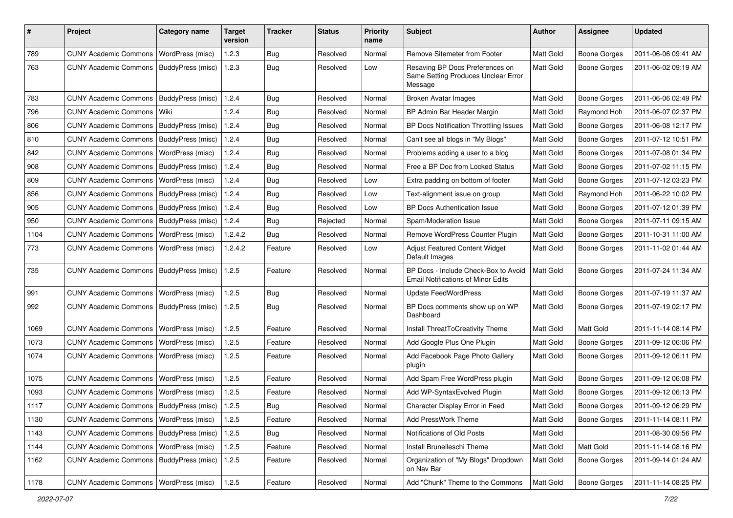| #    | Project                                   | <b>Category name</b> | <b>Target</b><br>version | Tracker    | <b>Status</b> | <b>Priority</b><br>name | Subject                                                                           | <b>Author</b>    | <b>Assignee</b>     | <b>Updated</b>      |
|------|-------------------------------------------|----------------------|--------------------------|------------|---------------|-------------------------|-----------------------------------------------------------------------------------|------------------|---------------------|---------------------|
| 789  | <b>CUNY Academic Commons</b>              | WordPress (misc)     | 1.2.3                    | Bug        | Resolved      | Normal                  | Remove Sitemeter from Footer                                                      | Matt Gold        | <b>Boone Gorges</b> | 2011-06-06 09:41 AM |
| 763  | <b>CUNY Academic Commons</b>              | BuddyPress (misc)    | 1.2.3                    | Bug        | Resolved      | Low                     | Resaving BP Docs Preferences on<br>Same Setting Produces Unclear Error<br>Message | Matt Gold        | <b>Boone Gorges</b> | 2011-06-02 09:19 AM |
| 783  | <b>CUNY Academic Commons</b>              | BuddyPress (misc)    | 1.2.4                    | Bug        | Resolved      | Normal                  | <b>Broken Avatar Images</b>                                                       | Matt Gold        | <b>Boone Gorges</b> | 2011-06-06 02:49 PM |
| 796  | <b>CUNY Academic Commons</b>              | Wiki                 | 1.2.4                    | Bug        | Resolved      | Normal                  | BP Admin Bar Header Margin                                                        | Matt Gold        | Raymond Hoh         | 2011-06-07 02:37 PM |
| 806  | <b>CUNY Academic Commons</b>              | BuddyPress (misc)    | 1.2.4                    | <b>Bug</b> | Resolved      | Normal                  | BP Docs Notification Throttling Issues                                            | Matt Gold        | <b>Boone Gorges</b> | 2011-06-08 12:17 PM |
| 810  | <b>CUNY Academic Commons</b>              | BuddyPress (misc)    | 1.2.4                    | <b>Bug</b> | Resolved      | Normal                  | Can't see all blogs in "My Blogs"                                                 | Matt Gold        | <b>Boone Gorges</b> | 2011-07-12 10:51 PM |
| 842  | <b>CUNY Academic Commons</b>              | WordPress (misc)     | 1.2.4                    | Bug        | Resolved      | Normal                  | Problems adding a user to a blog                                                  | Matt Gold        | <b>Boone Gorges</b> | 2011-07-08 01:34 PM |
| 908  | <b>CUNY Academic Commons</b>              | BuddyPress (misc)    | 1.2.4                    | Bug        | Resolved      | Normal                  | Free a BP Doc from Locked Status                                                  | Matt Gold        | <b>Boone Gorges</b> | 2011-07-02 11:15 PM |
| 809  | <b>CUNY Academic Commons</b>              | WordPress (misc)     | 1.2.4                    | <b>Bug</b> | Resolved      | Low                     | Extra padding on bottom of footer                                                 | Matt Gold        | <b>Boone Gorges</b> | 2011-07-12 03:23 PM |
| 856  | <b>CUNY Academic Commons</b>              | BuddyPress (misc)    | 1.2.4                    | <b>Bug</b> | Resolved      | Low                     | Text-alignment issue on group                                                     | Matt Gold        | Raymond Hoh         | 2011-06-22 10:02 PM |
| 905  | <b>CUNY Academic Commons</b>              | BuddyPress (misc)    | 1.2.4                    | <b>Bug</b> | Resolved      | Low                     | <b>BP Docs Authentication Issue</b>                                               | Matt Gold        | <b>Boone Gorges</b> | 2011-07-12 01:39 PM |
| 950  | <b>CUNY Academic Commons</b>              | BuddyPress (misc)    | 1.2.4                    | Bug        | Rejected      | Normal                  | Spam/Moderation Issue                                                             | Matt Gold        | <b>Boone Gorges</b> | 2011-07-11 09:15 AM |
| 1104 | <b>CUNY Academic Commons</b>              | WordPress (misc)     | 1.2.4.2                  | Bug        | Resolved      | Normal                  | Remove WordPress Counter Plugin                                                   | Matt Gold        | <b>Boone Gorges</b> | 2011-10-31 11:00 AM |
| 773  | <b>CUNY Academic Commons</b>              | WordPress (misc)     | 1.2.4.2                  | Feature    | Resolved      | Low                     | Adjust Featured Content Widget<br>Default Images                                  | Matt Gold        | <b>Boone Gorges</b> | 2011-11-02 01:44 AM |
| 735  | <b>CUNY Academic Commons</b>              | BuddyPress (misc)    | 1.2.5                    | Feature    | Resolved      | Normal                  | BP Docs - Include Check-Box to Avoid<br><b>Email Notifications of Minor Edits</b> | Matt Gold        | <b>Boone Gorges</b> | 2011-07-24 11:34 AM |
| 991  | <b>CUNY Academic Commons</b>              | WordPress (misc)     | 1.2.5                    | Bug        | Resolved      | Normal                  | <b>Update FeedWordPress</b>                                                       | Matt Gold        | <b>Boone Gorges</b> | 2011-07-19 11:37 AM |
| 992  | <b>CUNY Academic Commons</b>              | BuddyPress (misc)    | 1.2.5                    | <b>Bug</b> | Resolved      | Normal                  | BP Docs comments show up on WP<br>Dashboard                                       | Matt Gold        | <b>Boone Gorges</b> | 2011-07-19 02:17 PM |
| 1069 | <b>CUNY Academic Commons</b>              | WordPress (misc)     | 1.2.5                    | Feature    | Resolved      | Normal                  | Install ThreatToCreativity Theme                                                  | Matt Gold        | Matt Gold           | 2011-11-14 08:14 PM |
| 1073 | <b>CUNY Academic Commons</b>              | WordPress (misc)     | 1.2.5                    | Feature    | Resolved      | Normal                  | Add Google Plus One Plugin                                                        | Matt Gold        | <b>Boone Gorges</b> | 2011-09-12 06:06 PM |
| 1074 | <b>CUNY Academic Commons</b>              | WordPress (misc)     | 1.2.5                    | Feature    | Resolved      | Normal                  | Add Facebook Page Photo Gallery<br>plugin                                         | Matt Gold        | <b>Boone Gorges</b> | 2011-09-12 06:11 PM |
| 1075 | <b>CUNY Academic Commons</b>              | WordPress (misc)     | 1.2.5                    | Feature    | Resolved      | Normal                  | Add Spam Free WordPress plugin                                                    | Matt Gold        | <b>Boone Gorges</b> | 2011-09-12 06:08 PM |
| 1093 | <b>CUNY Academic Commons</b>              | WordPress (misc)     | 1.2.5                    | Feature    | Resolved      | Normal                  | Add WP-SyntaxEvolved Plugin                                                       | Matt Gold        | <b>Boone Gorges</b> | 2011-09-12 06:13 PM |
| 1117 | <b>CUNY Academic Commons</b>              | BuddyPress (misc)    | 1.2.5                    | <b>Bug</b> | Resolved      | Normal                  | Character Display Error in Feed                                                   | Matt Gold        | <b>Boone Gorges</b> | 2011-09-12 06:29 PM |
| 1130 | CUNY Academic Commons   WordPress (misc)  |                      | 1.2.5                    | Feature    | Resolved      | Normal                  | Add PressWork Theme                                                               | Matt Gold        | Boone Gorges        | 2011-11-14 08:11 PM |
| 1143 | CUNY Academic Commons   BuddyPress (misc) |                      | 1.2.5                    | Bug        | Resolved      | Normal                  | Notifications of Old Posts                                                        | Matt Gold        |                     | 2011-08-30 09:56 PM |
| 1144 | CUNY Academic Commons   WordPress (misc)  |                      | 1.2.5                    | Feature    | Resolved      | Normal                  | Install Brunelleschi Theme                                                        | Matt Gold        | Matt Gold           | 2011-11-14 08:16 PM |
| 1162 | CUNY Academic Commons   BuddyPress (misc) |                      | 1.2.5                    | Feature    | Resolved      | Normal                  | Organization of "My Blogs" Dropdown<br>on Nav Bar                                 | Matt Gold        | Boone Gorges        | 2011-09-14 01:24 AM |
| 1178 | CUNY Academic Commons   WordPress (misc)  |                      | 1.2.5                    | Feature    | Resolved      | Normal                  | Add "Chunk" Theme to the Commons                                                  | <b>Matt Gold</b> | <b>Boone Gorges</b> | 2011-11-14 08:25 PM |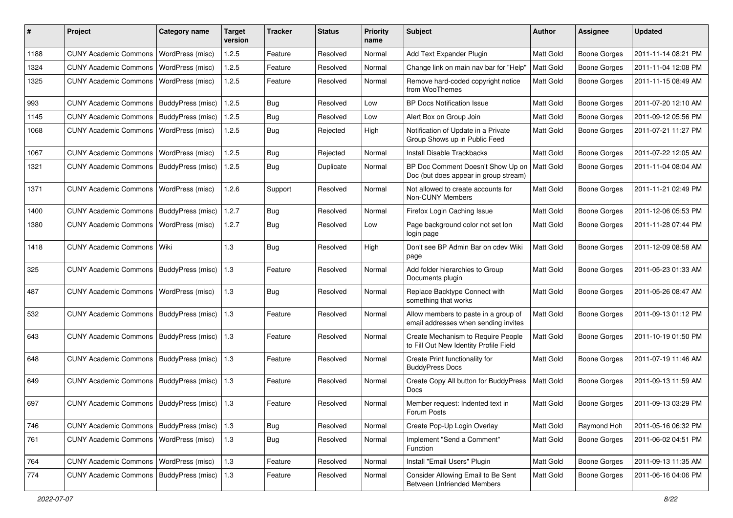| #    | Project                                   | <b>Category name</b> | <b>Target</b><br>version | <b>Tracker</b> | <b>Status</b> | <b>Priority</b><br>name | <b>Subject</b>                                                               | Author           | Assignee            | <b>Updated</b>      |
|------|-------------------------------------------|----------------------|--------------------------|----------------|---------------|-------------------------|------------------------------------------------------------------------------|------------------|---------------------|---------------------|
| 1188 | <b>CUNY Academic Commons</b>              | WordPress (misc)     | 1.2.5                    | Feature        | Resolved      | Normal                  | Add Text Expander Plugin                                                     | Matt Gold        | <b>Boone Gorges</b> | 2011-11-14 08:21 PM |
| 1324 | <b>CUNY Academic Commons</b>              | WordPress (misc)     | 1.2.5                    | Feature        | Resolved      | Normal                  | Change link on main nav bar for "Help"                                       | Matt Gold        | <b>Boone Gorges</b> | 2011-11-04 12:08 PM |
| 1325 | <b>CUNY Academic Commons</b>              | WordPress (misc)     | 1.2.5                    | Feature        | Resolved      | Normal                  | Remove hard-coded copyright notice<br>from WooThemes                         | Matt Gold        | <b>Boone Gorges</b> | 2011-11-15 08:49 AM |
| 993  | <b>CUNY Academic Commons</b>              | BuddyPress (misc)    | 1.2.5                    | <b>Bug</b>     | Resolved      | Low                     | <b>BP Docs Notification Issue</b>                                            | Matt Gold        | Boone Gorges        | 2011-07-20 12:10 AM |
| 1145 | CUNY Academic Commons   BuddyPress (misc) |                      | 1.2.5                    | Bug            | Resolved      | Low                     | Alert Box on Group Join                                                      | Matt Gold        | <b>Boone Gorges</b> | 2011-09-12 05:56 PM |
| 1068 | <b>CUNY Academic Commons</b>              | WordPress (misc)     | 1.2.5                    | Bug            | Rejected      | High                    | Notification of Update in a Private<br>Group Shows up in Public Feed         | Matt Gold        | Boone Gorges        | 2011-07-21 11:27 PM |
| 1067 | <b>CUNY Academic Commons</b>              | WordPress (misc)     | 1.2.5                    | Bug            | Rejected      | Normal                  | <b>Install Disable Trackbacks</b>                                            | Matt Gold        | <b>Boone Gorges</b> | 2011-07-22 12:05 AM |
| 1321 | <b>CUNY Academic Commons</b>              | BuddyPress (misc)    | 1.2.5                    | Bug            | Duplicate     | Normal                  | BP Doc Comment Doesn't Show Up on<br>Doc (but does appear in group stream)   | Matt Gold        | <b>Boone Gorges</b> | 2011-11-04 08:04 AM |
| 1371 | <b>CUNY Academic Commons</b>              | WordPress (misc)     | 1.2.6                    | Support        | Resolved      | Normal                  | Not allowed to create accounts for<br>Non-CUNY Members                       | <b>Matt Gold</b> | <b>Boone Gorges</b> | 2011-11-21 02:49 PM |
| 1400 | <b>CUNY Academic Commons</b>              | BuddyPress (misc)    | 1.2.7                    | Bug            | Resolved      | Normal                  | Firefox Login Caching Issue                                                  | Matt Gold        | Boone Gorges        | 2011-12-06 05:53 PM |
| 1380 | <b>CUNY Academic Commons</b>              | WordPress (misc)     | 1.2.7                    | Bug            | Resolved      | Low                     | Page background color not set lon<br>login page                              | <b>Matt Gold</b> | Boone Gorges        | 2011-11-28 07:44 PM |
| 1418 | CUNY Academic Commons   Wiki              |                      | 1.3                      | Bug            | Resolved      | High                    | Don't see BP Admin Bar on cdev Wiki<br>page                                  | <b>Matt Gold</b> | <b>Boone Gorges</b> | 2011-12-09 08:58 AM |
| 325  | <b>CUNY Academic Commons</b>              | BuddyPress (misc)    | 1.3                      | Feature        | Resolved      | Normal                  | Add folder hierarchies to Group<br>Documents plugin                          | Matt Gold        | Boone Gorges        | 2011-05-23 01:33 AM |
| 487  | CUNY Academic Commons   WordPress (misc)  |                      | $1.3$                    | Bug            | Resolved      | Normal                  | Replace Backtype Connect with<br>something that works                        | Matt Gold        | Boone Gorges        | 2011-05-26 08:47 AM |
| 532  | CUNY Academic Commons   BuddyPress (misc) |                      | 1.3                      | Feature        | Resolved      | Normal                  | Allow members to paste in a group of<br>email addresses when sending invites | <b>Matt Gold</b> | <b>Boone Gorges</b> | 2011-09-13 01:12 PM |
| 643  | <b>CUNY Academic Commons</b>              | BuddyPress (misc)    | 1.3                      | Feature        | Resolved      | Normal                  | Create Mechanism to Require People<br>to Fill Out New Identity Profile Field | Matt Gold        | Boone Gorges        | 2011-10-19 01:50 PM |
| 648  | <b>CUNY Academic Commons</b>              | BuddyPress (misc)    | 1.3                      | Feature        | Resolved      | Normal                  | Create Print functionality for<br><b>BuddyPress Docs</b>                     | Matt Gold        | Boone Gorges        | 2011-07-19 11:46 AM |
| 649  | CUNY Academic Commons   BuddyPress (misc) |                      | 1.3                      | Feature        | Resolved      | Normal                  | Create Copy All button for BuddyPress<br><b>Docs</b>                         | <b>Matt Gold</b> | Boone Gorges        | 2011-09-13 11:59 AM |
| 697  | CUNY Academic Commons   BuddyPress (misc) |                      | 1.3                      | Feature        | Resolved      | Normal                  | Member request: Indented text in<br>Forum Posts                              | Matt Gold        | <b>Boone Gorges</b> | 2011-09-13 03:29 PM |
| 746  | CUNY Academic Commons   BuddyPress (misc) |                      | 1.3                      | Bug            | Resolved      | Normal                  | Create Pop-Up Login Overlay                                                  | Matt Gold        | Raymond Hoh         | 2011-05-16 06:32 PM |
| 761  | CUNY Academic Commons   WordPress (misc)  |                      | $1.3$                    | <b>Bug</b>     | Resolved      | Normal                  | Implement "Send a Comment"<br>Function                                       | <b>Matt Gold</b> | Boone Gorges        | 2011-06-02 04:51 PM |
| 764  | CUNY Academic Commons   WordPress (misc)  |                      | $1.3$                    | Feature        | Resolved      | Normal                  | Install "Email Users" Plugin                                                 | Matt Gold        | Boone Gorges        | 2011-09-13 11:35 AM |
| 774  | CUNY Academic Commons   BuddyPress (misc) |                      | 1.3                      | Feature        | Resolved      | Normal                  | Consider Allowing Email to Be Sent<br><b>Between Unfriended Members</b>      | Matt Gold        | Boone Gorges        | 2011-06-16 04:06 PM |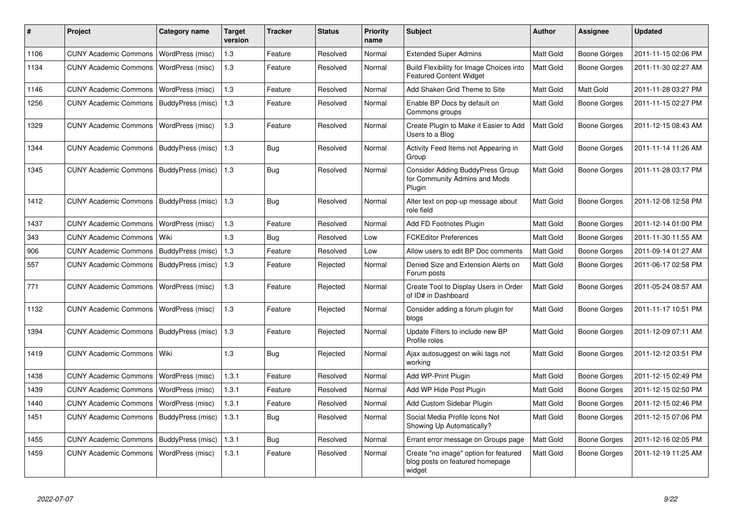| $\#$ | Project                                   | Category name            | <b>Target</b><br>version | <b>Tracker</b> | <b>Status</b> | <b>Priority</b><br>name | <b>Subject</b>                                                                     | <b>Author</b>    | <b>Assignee</b>     | <b>Updated</b>      |
|------|-------------------------------------------|--------------------------|--------------------------|----------------|---------------|-------------------------|------------------------------------------------------------------------------------|------------------|---------------------|---------------------|
| 1106 | <b>CUNY Academic Commons</b>              | WordPress (misc)         | $1.3$                    | Feature        | Resolved      | Normal                  | <b>Extended Super Admins</b>                                                       | <b>Matt Gold</b> | Boone Gorges        | 2011-11-15 02:06 PM |
| 1134 | <b>CUNY Academic Commons</b>              | WordPress (misc)         | 1.3                      | Feature        | Resolved      | Normal                  | Build Flexibility for Image Choices into<br><b>Featured Content Widget</b>         | Matt Gold        | Boone Gorges        | 2011-11-30 02:27 AM |
| 1146 | <b>CUNY Academic Commons</b>              | WordPress (misc)         | 1.3                      | Feature        | Resolved      | Normal                  | Add Shaken Grid Theme to Site                                                      | <b>Matt Gold</b> | Matt Gold           | 2011-11-28 03:27 PM |
| 1256 | <b>CUNY Academic Commons</b>              | BuddyPress (misc)        | 1.3                      | Feature        | Resolved      | Normal                  | Enable BP Docs by default on<br>Commons groups                                     | Matt Gold        | Boone Gorges        | 2011-11-15 02:27 PM |
| 1329 | <b>CUNY Academic Commons</b>              | WordPress (misc)         | 1.3                      | Feature        | Resolved      | Normal                  | Create Plugin to Make it Easier to Add<br>Users to a Blog                          | <b>Matt Gold</b> | Boone Gorges        | 2011-12-15 08:43 AM |
| 1344 | <b>CUNY Academic Commons</b>              | BuddyPress (misc)        | 1.3                      | Bug            | Resolved      | Normal                  | Activity Feed Items not Appearing in<br>Group                                      | <b>Matt Gold</b> | <b>Boone Gorges</b> | 2011-11-14 11:26 AM |
| 1345 | <b>CUNY Academic Commons</b>              | BuddyPress (misc)        | 1.3                      | Bug            | Resolved      | Normal                  | Consider Adding BuddyPress Group<br>for Community Admins and Mods<br>Plugin        | Matt Gold        | Boone Gorges        | 2011-11-28 03:17 PM |
| 1412 | <b>CUNY Academic Commons</b>              | <b>BuddyPress (misc)</b> | 1.3                      | Bug            | Resolved      | Normal                  | Alter text on pop-up message about<br>role field                                   | <b>Matt Gold</b> | Boone Gorges        | 2011-12-08 12:58 PM |
| 1437 | <b>CUNY Academic Commons</b>              | WordPress (misc)         | 1.3                      | Feature        | Resolved      | Normal                  | Add FD Footnotes Plugin                                                            | <b>Matt Gold</b> | Boone Gorges        | 2011-12-14 01:00 PM |
| 343  | <b>CUNY Academic Commons</b>              | Wiki                     | 1.3                      | Bug            | Resolved      | Low                     | <b>FCKEditor Preferences</b>                                                       | <b>Matt Gold</b> | Boone Gorges        | 2011-11-30 11:55 AM |
| 906  | <b>CUNY Academic Commons</b>              | <b>BuddyPress (misc)</b> | 1.3                      | Feature        | Resolved      | Low                     | Allow users to edit BP Doc comments                                                | <b>Matt Gold</b> | Boone Gorges        | 2011-09-14 01:27 AM |
| 557  | <b>CUNY Academic Commons</b>              | BuddyPress (misc)        | 1.3                      | Feature        | Rejected      | Normal                  | Denied Size and Extension Alerts on<br>Forum posts                                 | <b>Matt Gold</b> | Boone Gorges        | 2011-06-17 02:58 PM |
| 771  | <b>CUNY Academic Commons</b>              | WordPress (misc)         | 1.3                      | Feature        | Rejected      | Normal                  | Create Tool to Display Users in Order<br>of ID# in Dashboard                       | <b>Matt Gold</b> | Boone Gorges        | 2011-05-24 08:57 AM |
| 1132 | <b>CUNY Academic Commons</b>              | WordPress (misc)         | 1.3                      | Feature        | Rejected      | Normal                  | Consider adding a forum plugin for<br>blogs                                        | Matt Gold        | Boone Gorges        | 2011-11-17 10:51 PM |
| 1394 | <b>CUNY Academic Commons</b>              | <b>BuddyPress</b> (misc) | 1.3                      | Feature        | Rejected      | Normal                  | Update Filters to include new BP<br>Profile roles                                  | <b>Matt Gold</b> | Boone Gorges        | 2011-12-09 07:11 AM |
| 1419 | <b>CUNY Academic Commons</b>              | Wiki                     | 1.3                      | Bug            | Rejected      | Normal                  | Ajax autosuggest on wiki tags not<br>working                                       | Matt Gold        | <b>Boone Gorges</b> | 2011-12-12 03:51 PM |
| 1438 | <b>CUNY Academic Commons</b>              | WordPress (misc)         | 1.3.1                    | Feature        | Resolved      | Normal                  | Add WP-Print Plugin                                                                | <b>Matt Gold</b> | <b>Boone Gorges</b> | 2011-12-15 02:49 PM |
| 1439 | <b>CUNY Academic Commons</b>              | WordPress (misc)         | 1.3.1                    | Feature        | Resolved      | Normal                  | Add WP Hide Post Plugin                                                            | <b>Matt Gold</b> | Boone Gorges        | 2011-12-15 02:50 PM |
| 1440 | <b>CUNY Academic Commons</b>              | WordPress (misc)         | 1.3.1                    | Feature        | Resolved      | Normal                  | Add Custom Sidebar Plugin                                                          | <b>Matt Gold</b> | Boone Gorges        | 2011-12-15 02:46 PM |
| 1451 | <b>CUNY Academic Commons</b>              | BuddyPress (misc)        | 1.3.1                    | <b>Bug</b>     | Resolved      | Normal                  | Social Media Profile Icons Not<br>Showing Up Automatically?                        | <b>Matt Gold</b> | Boone Gorges        | 2011-12-15 07:06 PM |
| 1455 | CUNY Academic Commons   BuddyPress (misc) |                          | 1.3.1                    | Bug            | Resolved      | Normal                  | Errant error message on Groups page                                                | <b>Matt Gold</b> | Boone Gorges        | 2011-12-16 02:05 PM |
| 1459 | <b>CUNY Academic Commons</b>              | WordPress (misc)         | 1.3.1                    | Feature        | Resolved      | Normal                  | Create "no image" option for featured<br>blog posts on featured homepage<br>widget | <b>Matt Gold</b> | Boone Gorges        | 2011-12-19 11:25 AM |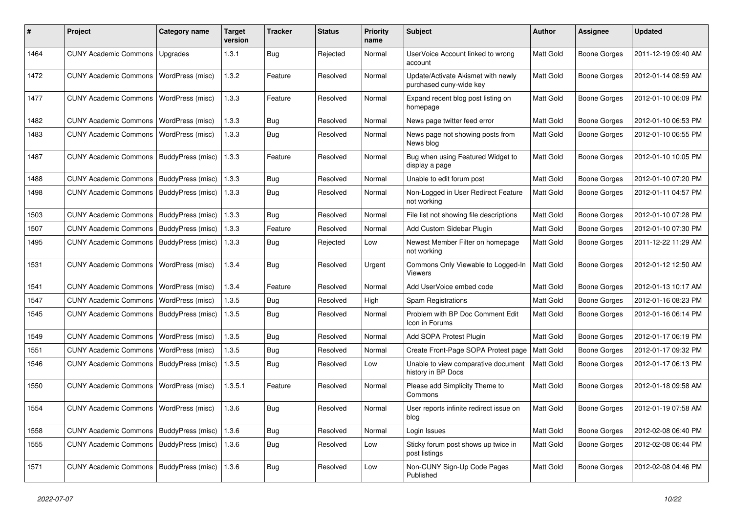| #    | Project                                   | <b>Category name</b> | <b>Target</b><br>version | <b>Tracker</b> | <b>Status</b> | <b>Priority</b><br>name | Subject                                                       | <b>Author</b> | <b>Assignee</b>     | <b>Updated</b>      |
|------|-------------------------------------------|----------------------|--------------------------|----------------|---------------|-------------------------|---------------------------------------------------------------|---------------|---------------------|---------------------|
| 1464 | <b>CUNY Academic Commons</b>              | Upgrades             | 1.3.1                    | <b>Bug</b>     | Rejected      | Normal                  | UserVoice Account linked to wrong<br>account                  | Matt Gold     | <b>Boone Gorges</b> | 2011-12-19 09:40 AM |
| 1472 | <b>CUNY Academic Commons</b>              | WordPress (misc)     | 1.3.2                    | Feature        | Resolved      | Normal                  | Update/Activate Akismet with newly<br>purchased cuny-wide key | Matt Gold     | <b>Boone Gorges</b> | 2012-01-14 08:59 AM |
| 1477 | <b>CUNY Academic Commons</b>              | WordPress (misc)     | 1.3.3                    | Feature        | Resolved      | Normal                  | Expand recent blog post listing on<br>homepage                | Matt Gold     | <b>Boone Gorges</b> | 2012-01-10 06:09 PM |
| 1482 | <b>CUNY Academic Commons</b>              | WordPress (misc)     | 1.3.3                    | <b>Bug</b>     | Resolved      | Normal                  | News page twitter feed error                                  | Matt Gold     | <b>Boone Gorges</b> | 2012-01-10 06:53 PM |
| 1483 | <b>CUNY Academic Commons</b>              | WordPress (misc)     | 1.3.3                    | Bug            | Resolved      | Normal                  | News page not showing posts from<br>News blog                 | Matt Gold     | <b>Boone Gorges</b> | 2012-01-10 06:55 PM |
| 1487 | <b>CUNY Academic Commons</b>              | BuddyPress (misc)    | 1.3.3                    | Feature        | Resolved      | Normal                  | Bug when using Featured Widget to<br>display a page           | Matt Gold     | <b>Boone Gorges</b> | 2012-01-10 10:05 PM |
| 1488 | <b>CUNY Academic Commons</b>              | BuddyPress (misc)    | 1.3.3                    | Bug            | Resolved      | Normal                  | Unable to edit forum post                                     | Matt Gold     | <b>Boone Gorges</b> | 2012-01-10 07:20 PM |
| 1498 | <b>CUNY Academic Commons</b>              | BuddyPress (misc)    | 1.3.3                    | <b>Bug</b>     | Resolved      | Normal                  | Non-Logged in User Redirect Feature<br>not working            | Matt Gold     | <b>Boone Gorges</b> | 2012-01-11 04:57 PM |
| 1503 | <b>CUNY Academic Commons</b>              | BuddyPress (misc)    | 1.3.3                    | Bug            | Resolved      | Normal                  | File list not showing file descriptions                       | Matt Gold     | <b>Boone Gorges</b> | 2012-01-10 07:28 PM |
| 1507 | <b>CUNY Academic Commons</b>              | BuddyPress (misc)    | 1.3.3                    | Feature        | Resolved      | Normal                  | Add Custom Sidebar Plugin                                     | Matt Gold     | <b>Boone Gorges</b> | 2012-01-10 07:30 PM |
| 1495 | <b>CUNY Academic Commons</b>              | BuddyPress (misc)    | 1.3.3                    | Bug            | Rejected      | Low                     | Newest Member Filter on homepage<br>not working               | Matt Gold     | <b>Boone Gorges</b> | 2011-12-22 11:29 AM |
| 1531 | <b>CUNY Academic Commons</b>              | WordPress (misc)     | 1.3.4                    | Bug            | Resolved      | Urgent                  | Commons Only Viewable to Logged-In<br>Viewers                 | Matt Gold     | <b>Boone Gorges</b> | 2012-01-12 12:50 AM |
| 1541 | <b>CUNY Academic Commons</b>              | WordPress (misc)     | 1.3.4                    | Feature        | Resolved      | Normal                  | Add UserVoice embed code                                      | Matt Gold     | <b>Boone Gorges</b> | 2012-01-13 10:17 AM |
| 1547 | <b>CUNY Academic Commons</b>              | WordPress (misc)     | 1.3.5                    | <b>Bug</b>     | Resolved      | High                    | Spam Registrations                                            | Matt Gold     | <b>Boone Gorges</b> | 2012-01-16 08:23 PM |
| 1545 | <b>CUNY Academic Commons</b>              | BuddyPress (misc)    | 1.3.5                    | Bug            | Resolved      | Normal                  | Problem with BP Doc Comment Edit<br>Icon in Forums            | Matt Gold     | <b>Boone Gorges</b> | 2012-01-16 06:14 PM |
| 1549 | <b>CUNY Academic Commons</b>              | WordPress (misc)     | 1.3.5                    | Bug            | Resolved      | Normal                  | Add SOPA Protest Plugin                                       | Matt Gold     | <b>Boone Gorges</b> | 2012-01-17 06:19 PM |
| 1551 | <b>CUNY Academic Commons</b>              | WordPress (misc)     | 1.3.5                    | <b>Bug</b>     | Resolved      | Normal                  | Create Front-Page SOPA Protest page                           | Matt Gold     | <b>Boone Gorges</b> | 2012-01-17 09:32 PM |
| 1546 | <b>CUNY Academic Commons</b>              | BuddyPress (misc)    | 1.3.5                    | Bug            | Resolved      | Low                     | Unable to view comparative document<br>history in BP Docs     | Matt Gold     | <b>Boone Gorges</b> | 2012-01-17 06:13 PM |
| 1550 | <b>CUNY Academic Commons</b>              | WordPress (misc)     | 1.3.5.1                  | Feature        | Resolved      | Normal                  | Please add Simplicity Theme to<br>Commons                     | Matt Gold     | Boone Gorges        | 2012-01-18 09:58 AM |
| 1554 | CUNY Academic Commons   WordPress (misc)  |                      | 1.3.6                    | Bug            | Resolved      | Normal                  | User reports infinite redirect issue on<br>blog               | Matt Gold     | <b>Boone Gorges</b> | 2012-01-19 07:58 AM |
| 1558 | <b>CUNY Academic Commons</b>              | BuddyPress (misc)    | 1.3.6                    | Bug            | Resolved      | Normal                  | Login Issues                                                  | Matt Gold     | <b>Boone Gorges</b> | 2012-02-08 06:40 PM |
| 1555 | <b>CUNY Academic Commons</b>              | BuddyPress (misc)    | 1.3.6                    | <b>Bug</b>     | Resolved      | Low                     | Sticky forum post shows up twice in<br>post listings          | Matt Gold     | <b>Boone Gorges</b> | 2012-02-08 06:44 PM |
| 1571 | CUNY Academic Commons   BuddyPress (misc) |                      | 1.3.6                    | Bug            | Resolved      | Low                     | Non-CUNY Sign-Up Code Pages<br>Published                      | Matt Gold     | <b>Boone Gorges</b> | 2012-02-08 04:46 PM |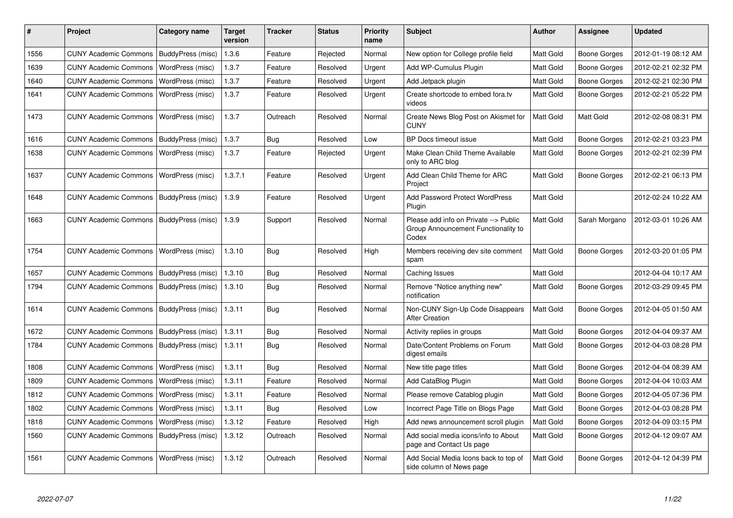| #    | Project                                   | Category name            | <b>Target</b><br>version | <b>Tracker</b> | <b>Status</b> | <b>Priority</b><br>name | <b>Subject</b>                                                                        | <b>Author</b>    | Assignee            | <b>Updated</b>      |
|------|-------------------------------------------|--------------------------|--------------------------|----------------|---------------|-------------------------|---------------------------------------------------------------------------------------|------------------|---------------------|---------------------|
| 1556 | <b>CUNY Academic Commons</b>              | BuddyPress (misc)        | 1.3.6                    | Feature        | Rejected      | Normal                  | New option for College profile field                                                  | Matt Gold        | Boone Gorges        | 2012-01-19 08:12 AM |
| 1639 | <b>CUNY Academic Commons</b>              | WordPress (misc)         | 1.3.7                    | Feature        | Resolved      | Urgent                  | Add WP-Cumulus Plugin                                                                 | Matt Gold        | <b>Boone Gorges</b> | 2012-02-21 02:32 PM |
| 1640 | <b>CUNY Academic Commons</b>              | WordPress (misc)         | 1.3.7                    | Feature        | Resolved      | Urgent                  | Add Jetpack plugin                                                                    | Matt Gold        | Boone Gorges        | 2012-02-21 02:30 PM |
| 1641 | <b>CUNY Academic Commons</b>              | WordPress (misc)         | 1.3.7                    | Feature        | Resolved      | Urgent                  | Create shortcode to embed fora.tv<br>videos                                           | <b>Matt Gold</b> | Boone Gorges        | 2012-02-21 05:22 PM |
| 1473 | <b>CUNY Academic Commons</b>              | WordPress (misc)         | 1.3.7                    | Outreach       | Resolved      | Normal                  | Create News Blog Post on Akismet for<br><b>CUNY</b>                                   | Matt Gold        | Matt Gold           | 2012-02-08 08:31 PM |
| 1616 | <b>CUNY Academic Commons</b>              | <b>BuddyPress (misc)</b> | 1.3.7                    | Bug            | Resolved      | Low                     | BP Docs timeout issue                                                                 | Matt Gold        | Boone Gorges        | 2012-02-21 03:23 PM |
| 1638 | <b>CUNY Academic Commons</b>              | WordPress (misc)         | 1.3.7                    | Feature        | Rejected      | Urgent                  | Make Clean Child Theme Available<br>only to ARC blog                                  | Matt Gold        | Boone Gorges        | 2012-02-21 02:39 PM |
| 1637 | <b>CUNY Academic Commons</b>              | WordPress (misc)         | 1.3.7.1                  | Feature        | Resolved      | Urgent                  | Add Clean Child Theme for ARC<br>Proiect                                              | Matt Gold        | <b>Boone Gorges</b> | 2012-02-21 06:13 PM |
| 1648 | <b>CUNY Academic Commons</b>              | BuddyPress (misc)        | 1.3.9                    | Feature        | Resolved      | Urgent                  | <b>Add Password Protect WordPress</b><br>Plugin                                       | Matt Gold        |                     | 2012-02-24 10:22 AM |
| 1663 | <b>CUNY Academic Commons</b>              | BuddyPress (misc)        | 1.3.9                    | Support        | Resolved      | Normal                  | Please add info on Private --> Public<br>Group Announcement Functionality to<br>Codex | Matt Gold        | Sarah Morgano       | 2012-03-01 10:26 AM |
| 1754 | <b>CUNY Academic Commons</b>              | WordPress (misc)         | 1.3.10                   | Bug            | Resolved      | High                    | Members receiving dev site comment<br>spam                                            | Matt Gold        | Boone Gorges        | 2012-03-20 01:05 PM |
| 1657 | <b>CUNY Academic Commons</b>              | BuddyPress (misc)        | 1.3.10                   | Bug            | Resolved      | Normal                  | Caching Issues                                                                        | Matt Gold        |                     | 2012-04-04 10:17 AM |
| 1794 | <b>CUNY Academic Commons</b>              | BuddyPress (misc)        | 1.3.10                   | <b>Bug</b>     | Resolved      | Normal                  | Remove "Notice anything new"<br>notification                                          | Matt Gold        | Boone Gorges        | 2012-03-29 09:45 PM |
| 1614 | CUNY Academic Commons   BuddyPress (misc) |                          | 1.3.11                   | Bug            | Resolved      | Normal                  | Non-CUNY Sign-Up Code Disappears<br><b>After Creation</b>                             | Matt Gold        | Boone Gorges        | 2012-04-05 01:50 AM |
| 1672 | <b>CUNY Academic Commons</b>              | BuddyPress (misc)        | 1.3.11                   | Bug            | Resolved      | Normal                  | Activity replies in groups                                                            | Matt Gold        | Boone Gorges        | 2012-04-04 09:37 AM |
| 1784 | CUNY Academic Commons   BuddyPress (misc) |                          | 1.3.11                   | Bug            | Resolved      | Normal                  | Date/Content Problems on Forum<br>digest emails                                       | <b>Matt Gold</b> | Boone Gorges        | 2012-04-03 08:28 PM |
| 1808 | <b>CUNY Academic Commons</b>              | WordPress (misc)         | 1.3.11                   | Bug            | Resolved      | Normal                  | New title page titles                                                                 | Matt Gold        | Boone Gorges        | 2012-04-04 08:39 AM |
| 1809 | <b>CUNY Academic Commons</b>              | WordPress (misc)         | 1.3.11                   | Feature        | Resolved      | Normal                  | Add CataBlog Plugin                                                                   | Matt Gold        | <b>Boone Gorges</b> | 2012-04-04 10:03 AM |
| 1812 | <b>CUNY Academic Commons</b>              | WordPress (misc)         | 1.3.11                   | Feature        | Resolved      | Normal                  | Please remove Catablog plugin                                                         | Matt Gold        | Boone Gorges        | 2012-04-05 07:36 PM |
| 1802 | <b>CUNY Academic Commons</b>              | WordPress (misc)         | 1.3.11                   | Bug            | Resolved      | Low                     | Incorrect Page Title on Blogs Page                                                    | Matt Gold        | Boone Gorges        | 2012-04-03 08:28 PM |
| 1818 | <b>CUNY Academic Commons</b>              | WordPress (misc)         | 1.3.12                   | Feature        | Resolved      | High                    | Add news announcement scroll plugin                                                   | Matt Gold        | Boone Gorges        | 2012-04-09 03:15 PM |
| 1560 | <b>CUNY Academic Commons</b>              | <b>BuddyPress</b> (misc) | 1.3.12                   | Outreach       | Resolved      | Normal                  | Add social media icons/info to About<br>page and Contact Us page                      | <b>Matt Gold</b> | Boone Gorges        | 2012-04-12 09:07 AM |
| 1561 | <b>CUNY Academic Commons</b>              | WordPress (misc)         | 1.3.12                   | Outreach       | Resolved      | Normal                  | Add Social Media Icons back to top of<br>side column of News page                     | Matt Gold        | Boone Gorges        | 2012-04-12 04:39 PM |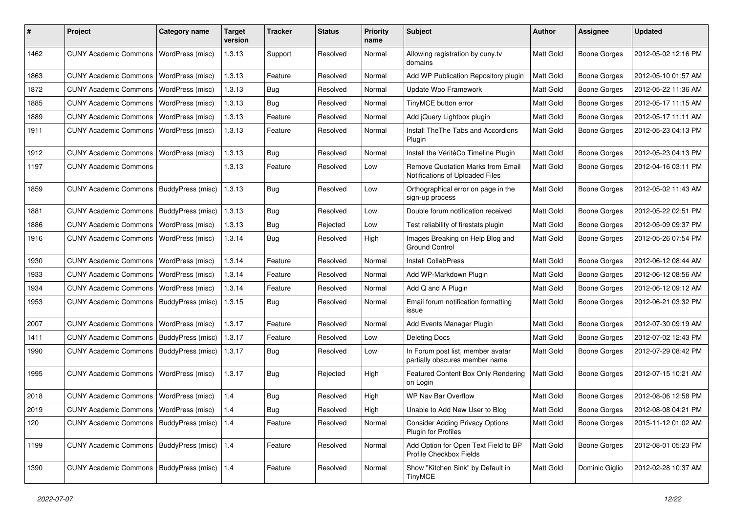| #    | Project                                         | <b>Category name</b>    | <b>Target</b><br>version | <b>Tracker</b> | <b>Status</b> | <b>Priority</b><br>name | <b>Subject</b>                                                       | <b>Author</b>    | <b>Assignee</b>     | <b>Updated</b>      |
|------|-------------------------------------------------|-------------------------|--------------------------|----------------|---------------|-------------------------|----------------------------------------------------------------------|------------------|---------------------|---------------------|
| 1462 | <b>CUNY Academic Commons</b>                    | WordPress (misc)        | 1.3.13                   | Support        | Resolved      | Normal                  | Allowing registration by cuny.tv<br>domains                          | <b>Matt Gold</b> | Boone Gorges        | 2012-05-02 12:16 PM |
| 1863 | <b>CUNY Academic Commons</b>                    | WordPress (misc)        | 1.3.13                   | Feature        | Resolved      | Normal                  | Add WP Publication Repository plugin                                 | Matt Gold        | <b>Boone Gorges</b> | 2012-05-10 01:57 AM |
| 1872 | <b>CUNY Academic Commons</b>                    | WordPress (misc)        | 1.3.13                   | Bug            | Resolved      | Normal                  | Update Woo Framework                                                 | Matt Gold        | <b>Boone Gorges</b> | 2012-05-22 11:36 AM |
| 1885 | <b>CUNY Academic Commons</b>                    | WordPress (misc)        | 1.3.13                   | Bug            | Resolved      | Normal                  | TinyMCE button error                                                 | Matt Gold        | Boone Gorges        | 2012-05-17 11:15 AM |
| 1889 | <b>CUNY Academic Commons</b>                    | WordPress (misc)        | 1.3.13                   | Feature        | Resolved      | Normal                  | Add jQuery Lightbox plugin                                           | Matt Gold        | Boone Gorges        | 2012-05-17 11:11 AM |
| 1911 | <b>CUNY Academic Commons</b>                    | WordPress (misc)        | 1.3.13                   | Feature        | Resolved      | Normal                  | Install The The Tabs and Accordions<br>Plugin                        | <b>Matt Gold</b> | <b>Boone Gorges</b> | 2012-05-23 04:13 PM |
| 1912 | <b>CUNY Academic Commons</b>                    | WordPress (misc)        | 1.3.13                   | Bug            | Resolved      | Normal                  | Install the VéritéCo Timeline Plugin                                 | Matt Gold        | <b>Boone Gorges</b> | 2012-05-23 04:13 PM |
| 1197 | <b>CUNY Academic Commons</b>                    |                         | 1.3.13                   | Feature        | Resolved      | Low                     | Remove Quotation Marks from Email<br>Notifications of Uploaded Files | Matt Gold        | Boone Gorges        | 2012-04-16 03:11 PM |
| 1859 | <b>CUNY Academic Commons</b>                    | BuddyPress (misc)       | 1.3.13                   | <b>Bug</b>     | Resolved      | Low                     | Orthographical error on page in the<br>sign-up process               | <b>Matt Gold</b> | Boone Gorges        | 2012-05-02 11:43 AM |
| 1881 | <b>CUNY Academic Commons</b>                    | BuddyPress (misc)       | 1.3.13                   | Bug            | Resolved      | Low                     | Double forum notification received                                   | Matt Gold        | <b>Boone Gorges</b> | 2012-05-22 02:51 PM |
| 1886 | <b>CUNY Academic Commons</b>                    | WordPress (misc)        | 1.3.13                   | Bug            | Rejected      | Low                     | Test reliability of firestats plugin                                 | Matt Gold        | <b>Boone Gorges</b> | 2012-05-09 09:37 PM |
| 1916 | <b>CUNY Academic Commons</b>                    | WordPress (misc)        | 1.3.14                   | <b>Bug</b>     | Resolved      | High                    | Images Breaking on Help Blog and<br><b>Ground Control</b>            | Matt Gold        | Boone Gorges        | 2012-05-26 07:54 PM |
| 1930 | <b>CUNY Academic Commons</b>                    | WordPress (misc)        | 1.3.14                   | Feature        | Resolved      | Normal                  | Install CollabPress                                                  | Matt Gold        | <b>Boone Gorges</b> | 2012-06-12 08:44 AM |
| 1933 | <b>CUNY Academic Commons</b>                    | WordPress (misc)        | 1.3.14                   | Feature        | Resolved      | Normal                  | Add WP-Markdown Plugin                                               | Matt Gold        | <b>Boone Gorges</b> | 2012-06-12 08:56 AM |
| 1934 | <b>CUNY Academic Commons</b>                    | WordPress (misc)        | 1.3.14                   | Feature        | Resolved      | Normal                  | Add Q and A Plugin                                                   | Matt Gold        | <b>Boone Gorges</b> | 2012-06-12 09:12 AM |
| 1953 | <b>CUNY Academic Commons</b>                    | BuddyPress (misc)       | 1.3.15                   | Bug            | Resolved      | Normal                  | Email forum notification formatting<br>issue                         | Matt Gold        | Boone Gorges        | 2012-06-21 03:32 PM |
| 2007 | <b>CUNY Academic Commons</b>                    | WordPress (misc)        | 1.3.17                   | Feature        | Resolved      | Normal                  | Add Events Manager Plugin                                            | Matt Gold        | <b>Boone Gorges</b> | 2012-07-30 09:19 AM |
| 1411 | <b>CUNY Academic Commons</b>                    | BuddyPress (misc)       | 1.3.17                   | Feature        | Resolved      | Low                     | <b>Deleting Docs</b>                                                 | Matt Gold        | Boone Gorges        | 2012-07-02 12:43 PM |
| 1990 | <b>CUNY Academic Commons</b>                    | BuddyPress (misc)       | 1.3.17                   | Bug            | Resolved      | Low                     | In Forum post list, member avatar<br>partially obscures member name  | Matt Gold        | Boone Gorges        | 2012-07-29 08:42 PM |
| 1995 | <b>CUNY Academic Commons</b>                    | WordPress (misc)        | 1.3.17                   | Bug            | Rejected      | High                    | Featured Content Box Only Rendering<br>on Login                      | Matt Gold        | <b>Boone Gorges</b> | 2012-07-15 10:21 AM |
| 2018 | <b>CUNY Academic Commons</b>                    | WordPress (misc)        | 1.4                      | Bug            | Resolved      | High                    | WP Nav Bar Overflow                                                  | Matt Gold        | <b>Boone Gorges</b> | 2012-08-06 12:58 PM |
| 2019 | CUNY Academic Commons   WordPress (misc)        |                         | 1.4                      | <b>Bug</b>     | Resolved      | High                    | Unable to Add New User to Blog                                       | <b>Matt Gold</b> | <b>Boone Gorges</b> | 2012-08-08 04:21 PM |
| 120  | CUNY Academic Commons   BuddyPress (misc)       |                         | 1.4                      | Feature        | Resolved      | Normal                  | <b>Consider Adding Privacy Options</b><br>Plugin for Profiles        | Matt Gold        | <b>Boone Gorges</b> | 2015-11-12 01:02 AM |
| 1199 | CUNY Academic Commons   BuddyPress (misc)   1.4 |                         |                          | Feature        | Resolved      | Normal                  | Add Option for Open Text Field to BP<br>Profile Checkbox Fields      | Matt Gold        | <b>Boone Gorges</b> | 2012-08-01 05:23 PM |
| 1390 | <b>CUNY Academic Commons</b>                    | BuddyPress (misc)   1.4 |                          | Feature        | Resolved      | Normal                  | Show "Kitchen Sink" by Default in<br>TinyMCE                         | Matt Gold        | Dominic Giglio      | 2012-02-28 10:37 AM |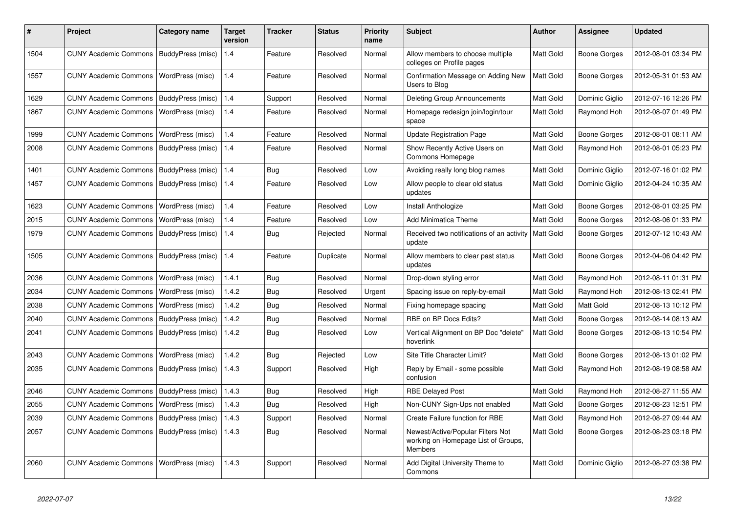| #    | <b>Project</b>               | Category name            | <b>Target</b><br>version | Tracker    | <b>Status</b> | <b>Priority</b><br>name | <b>Subject</b>                                                                             | <b>Author</b> | Assignee            | <b>Updated</b>      |
|------|------------------------------|--------------------------|--------------------------|------------|---------------|-------------------------|--------------------------------------------------------------------------------------------|---------------|---------------------|---------------------|
| 1504 | <b>CUNY Academic Commons</b> | BuddyPress (misc)        | 1.4                      | Feature    | Resolved      | Normal                  | Allow members to choose multiple<br>colleges on Profile pages                              | Matt Gold     | Boone Gorges        | 2012-08-01 03:34 PM |
| 1557 | <b>CUNY Academic Commons</b> | WordPress (misc)         | 1.4                      | Feature    | Resolved      | Normal                  | Confirmation Message on Adding New<br>Users to Blog                                        | Matt Gold     | <b>Boone Gorges</b> | 2012-05-31 01:53 AM |
| 1629 | <b>CUNY Academic Commons</b> | BuddyPress (misc)        | 1.4                      | Support    | Resolved      | Normal                  | <b>Deleting Group Announcements</b>                                                        | Matt Gold     | Dominic Giglio      | 2012-07-16 12:26 PM |
| 1867 | <b>CUNY Academic Commons</b> | WordPress (misc)         | 1.4                      | Feature    | Resolved      | Normal                  | Homepage redesign join/login/tour<br>space                                                 | Matt Gold     | Raymond Hoh         | 2012-08-07 01:49 PM |
| 1999 | <b>CUNY Academic Commons</b> | WordPress (misc)         | 1.4                      | Feature    | Resolved      | Normal                  | <b>Update Registration Page</b>                                                            | Matt Gold     | <b>Boone Gorges</b> | 2012-08-01 08:11 AM |
| 2008 | <b>CUNY Academic Commons</b> | BuddyPress (misc)        | 1.4                      | Feature    | Resolved      | Normal                  | Show Recently Active Users on<br>Commons Homepage                                          | Matt Gold     | Raymond Hoh         | 2012-08-01 05:23 PM |
| 1401 | <b>CUNY Academic Commons</b> | BuddyPress (misc)        | 1.4                      | Bug        | Resolved      | Low                     | Avoiding really long blog names                                                            | Matt Gold     | Dominic Giglio      | 2012-07-16 01:02 PM |
| 1457 | <b>CUNY Academic Commons</b> | BuddyPress (misc)        | 1.4                      | Feature    | Resolved      | Low                     | Allow people to clear old status<br>updates                                                | Matt Gold     | Dominic Giglio      | 2012-04-24 10:35 AM |
| 1623 | <b>CUNY Academic Commons</b> | WordPress (misc)         | 1.4                      | Feature    | Resolved      | Low                     | Install Anthologize                                                                        | Matt Gold     | Boone Gorges        | 2012-08-01 03:25 PM |
| 2015 | <b>CUNY Academic Commons</b> | WordPress (misc)         | 1.4                      | Feature    | Resolved      | Low                     | Add Minimatica Theme                                                                       | Matt Gold     | <b>Boone Gorges</b> | 2012-08-06 01:33 PM |
| 1979 | <b>CUNY Academic Commons</b> | <b>BuddyPress (misc)</b> | 1.4                      | <b>Bug</b> | Rejected      | Normal                  | Received two notifications of an activity<br>update                                        | Matt Gold     | <b>Boone Gorges</b> | 2012-07-12 10:43 AM |
| 1505 | <b>CUNY Academic Commons</b> | BuddyPress (misc)        | 1.4                      | Feature    | Duplicate     | Normal                  | Allow members to clear past status<br>updates                                              | Matt Gold     | Boone Gorges        | 2012-04-06 04:42 PM |
| 2036 | <b>CUNY Academic Commons</b> | WordPress (misc)         | 1.4.1                    | Bug        | Resolved      | Normal                  | Drop-down styling error                                                                    | Matt Gold     | Raymond Hoh         | 2012-08-11 01:31 PM |
| 2034 | <b>CUNY Academic Commons</b> | WordPress (misc)         | 1.4.2                    | Bug        | Resolved      | Urgent                  | Spacing issue on reply-by-email                                                            | Matt Gold     | Raymond Hoh         | 2012-08-13 02:41 PM |
| 2038 | <b>CUNY Academic Commons</b> | WordPress (misc)         | 1.4.2                    | <b>Bug</b> | Resolved      | Normal                  | Fixing homepage spacing                                                                    | Matt Gold     | Matt Gold           | 2012-08-13 10:12 PM |
| 2040 | <b>CUNY Academic Commons</b> | BuddyPress (misc)        | 1.4.2                    | Bug        | Resolved      | Normal                  | RBE on BP Docs Edits?                                                                      | Matt Gold     | <b>Boone Gorges</b> | 2012-08-14 08:13 AM |
| 2041 | <b>CUNY Academic Commons</b> | BuddyPress (misc)        | 1.4.2                    | Bug        | Resolved      | Low                     | Vertical Alignment on BP Doc "delete"<br>hoverlink                                         | Matt Gold     | <b>Boone Gorges</b> | 2012-08-13 10:54 PM |
| 2043 | <b>CUNY Academic Commons</b> | WordPress (misc)         | 1.4.2                    | <b>Bug</b> | Rejected      | Low                     | Site Title Character Limit?                                                                | Matt Gold     | Boone Gorges        | 2012-08-13 01:02 PM |
| 2035 | <b>CUNY Academic Commons</b> | BuddyPress (misc)        | 1.4.3                    | Support    | Resolved      | High                    | Reply by Email - some possible<br>confusion                                                | Matt Gold     | Raymond Hoh         | 2012-08-19 08:58 AM |
| 2046 | <b>CUNY Academic Commons</b> | BuddyPress (misc)        | 1.4.3                    | Bug        | Resolved      | High                    | <b>RBE Delayed Post</b>                                                                    | Matt Gold     | Raymond Hoh         | 2012-08-27 11:55 AM |
| 2055 | <b>CUNY Academic Commons</b> | WordPress (misc)         | 1.4.3                    | Bug        | Resolved      | High                    | Non-CUNY Sign-Ups not enabled                                                              | Matt Gold     | Boone Gorges        | 2012-08-23 12:51 PM |
| 2039 | <b>CUNY Academic Commons</b> | BuddyPress (misc)        | 1.4.3                    | Support    | Resolved      | Normal                  | Create Failure function for RBE                                                            | Matt Gold     | Raymond Hoh         | 2012-08-27 09:44 AM |
| 2057 | <b>CUNY Academic Commons</b> | BuddyPress (misc)        | 1.4.3                    | Bug        | Resolved      | Normal                  | Newest/Active/Popular Filters Not<br>working on Homepage List of Groups,<br><b>Members</b> | Matt Gold     | Boone Gorges        | 2012-08-23 03:18 PM |
| 2060 | <b>CUNY Academic Commons</b> | WordPress (misc)         | 1.4.3                    | Support    | Resolved      | Normal                  | Add Digital University Theme to<br>Commons                                                 | Matt Gold     | Dominic Giglio      | 2012-08-27 03:38 PM |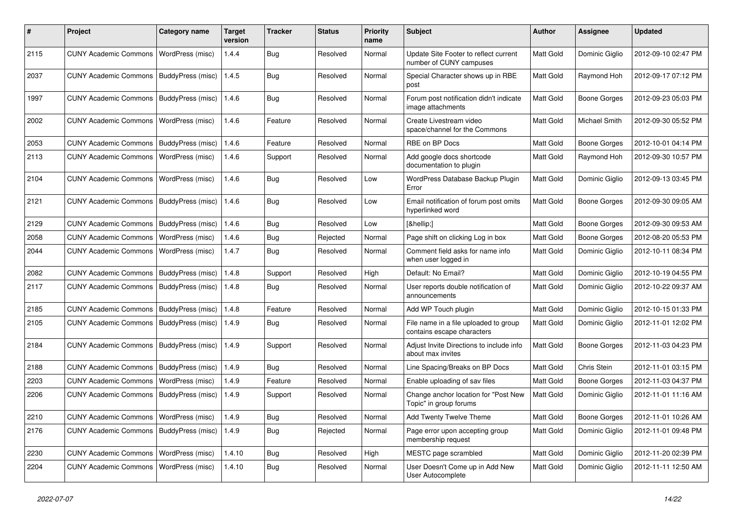| #    | Project                                   | <b>Category name</b> | <b>Target</b><br>version | <b>Tracker</b> | <b>Status</b> | <b>Priority</b><br>name | Subject                                                             | <b>Author</b>    | Assignee            | <b>Updated</b>      |
|------|-------------------------------------------|----------------------|--------------------------|----------------|---------------|-------------------------|---------------------------------------------------------------------|------------------|---------------------|---------------------|
| 2115 | <b>CUNY Academic Commons</b>              | WordPress (misc)     | 1.4.4                    | Bug            | Resolved      | Normal                  | Update Site Footer to reflect current<br>number of CUNY campuses    | Matt Gold        | Dominic Giglio      | 2012-09-10 02:47 PM |
| 2037 | <b>CUNY Academic Commons</b>              | BuddyPress (misc)    | 1.4.5                    | Bug            | Resolved      | Normal                  | Special Character shows up in RBE<br>post                           | Matt Gold        | Raymond Hoh         | 2012-09-17 07:12 PM |
| 1997 | <b>CUNY Academic Commons</b>              | BuddyPress (misc)    | 1.4.6                    | Bug            | Resolved      | Normal                  | Forum post notification didn't indicate<br>image attachments        | Matt Gold        | <b>Boone Gorges</b> | 2012-09-23 05:03 PM |
| 2002 | <b>CUNY Academic Commons</b>              | WordPress (misc)     | 1.4.6                    | Feature        | Resolved      | Normal                  | Create Livestream video<br>space/channel for the Commons            | Matt Gold        | Michael Smith       | 2012-09-30 05:52 PM |
| 2053 | <b>CUNY Academic Commons</b>              | BuddyPress (misc)    | 1.4.6                    | Feature        | Resolved      | Normal                  | RBE on BP Docs                                                      | Matt Gold        | <b>Boone Gorges</b> | 2012-10-01 04:14 PM |
| 2113 | <b>CUNY Academic Commons</b>              | WordPress (misc)     | 1.4.6                    | Support        | Resolved      | Normal                  | Add google docs shortcode<br>documentation to plugin                | Matt Gold        | Raymond Hoh         | 2012-09-30 10:57 PM |
| 2104 | <b>CUNY Academic Commons</b>              | WordPress (misc)     | 1.4.6                    | Bug            | Resolved      | Low                     | WordPress Database Backup Plugin<br>Error                           | Matt Gold        | Dominic Giglio      | 2012-09-13 03:45 PM |
| 2121 | <b>CUNY Academic Commons</b>              | BuddyPress (misc)    | 1.4.6                    | Bug            | Resolved      | Low                     | Email notification of forum post omits<br>hyperlinked word          | Matt Gold        | Boone Gorges        | 2012-09-30 09:05 AM |
| 2129 | <b>CUNY Academic Commons</b>              | BuddyPress (misc)    | 1.4.6                    | Bug            | Resolved      | Low                     | […]                                                                 | Matt Gold        | <b>Boone Gorges</b> | 2012-09-30 09:53 AM |
| 2058 | <b>CUNY Academic Commons</b>              | WordPress (misc)     | 1.4.6                    | Bug            | Rejected      | Normal                  | Page shift on clicking Log in box                                   | Matt Gold        | <b>Boone Gorges</b> | 2012-08-20 05:53 PM |
| 2044 | <b>CUNY Academic Commons</b>              | WordPress (misc)     | 1.4.7                    | Bug            | Resolved      | Normal                  | Comment field asks for name info<br>when user logged in             | Matt Gold        | Dominic Giglio      | 2012-10-11 08:34 PM |
| 2082 | <b>CUNY Academic Commons</b>              | BuddyPress (misc)    | 1.4.8                    | Support        | Resolved      | High                    | Default: No Email?                                                  | Matt Gold        | Dominic Giglio      | 2012-10-19 04:55 PM |
| 2117 | <b>CUNY Academic Commons</b>              | BuddyPress (misc)    | 1.4.8                    | Bug            | Resolved      | Normal                  | User reports double notification of<br>announcements                | Matt Gold        | Dominic Giglio      | 2012-10-22 09:37 AM |
| 2185 | <b>CUNY Academic Commons</b>              | BuddyPress (misc)    | 1.4.8                    | Feature        | Resolved      | Normal                  | Add WP Touch plugin                                                 | Matt Gold        | Dominic Giglio      | 2012-10-15 01:33 PM |
| 2105 | <b>CUNY Academic Commons</b>              | BuddyPress (misc)    | 1.4.9                    | Bug            | Resolved      | Normal                  | File name in a file uploaded to group<br>contains escape characters | <b>Matt Gold</b> | Dominic Giglio      | 2012-11-01 12:02 PM |
| 2184 | <b>CUNY Academic Commons</b>              | BuddyPress (misc)    | 1.4.9                    | Support        | Resolved      | Normal                  | Adjust Invite Directions to include info<br>about max invites       | Matt Gold        | <b>Boone Gorges</b> | 2012-11-03 04:23 PM |
| 2188 | <b>CUNY Academic Commons</b>              | BuddyPress (misc)    | 1.4.9                    | Bug            | Resolved      | Normal                  | Line Spacing/Breaks on BP Docs                                      | Matt Gold        | Chris Stein         | 2012-11-01 03:15 PM |
| 2203 | <b>CUNY Academic Commons</b>              | WordPress (misc)     | 1.4.9                    | Feature        | Resolved      | Normal                  | Enable uploading of sav files                                       | Matt Gold        | <b>Boone Gorges</b> | 2012-11-03 04:37 PM |
| 2206 | <b>CUNY Academic Commons</b>              | BuddyPress (misc)    | 1.4.9                    | Support        | Resolved      | Normal                  | Change anchor location for "Post New<br>Topic" in group forums      | Matt Gold        | Dominic Giglio      | 2012-11-01 11:16 AM |
| 2210 | CUNY Academic Commons   WordPress (misc)  |                      | 1.4.9                    | Bug            | Resolved      | Normal                  | Add Twenty Twelve Theme                                             | Matt Gold        | <b>Boone Gorges</b> | 2012-11-01 10:26 AM |
| 2176 | CUNY Academic Commons   BuddyPress (misc) |                      | 1.4.9                    | Bug            | Rejected      | Normal                  | Page error upon accepting group<br>membership request               | Matt Gold        | Dominic Giglio      | 2012-11-01 09:48 PM |
| 2230 | CUNY Academic Commons   WordPress (misc)  |                      | 1.4.10                   | Bug            | Resolved      | High                    | MESTC page scrambled                                                | Matt Gold        | Dominic Giglio      | 2012-11-20 02:39 PM |
| 2204 | CUNY Academic Commons   WordPress (misc)  |                      | 1.4.10                   | <b>Bug</b>     | Resolved      | Normal                  | User Doesn't Come up in Add New<br>User Autocomplete                | Matt Gold        | Dominic Giglio      | 2012-11-11 12:50 AM |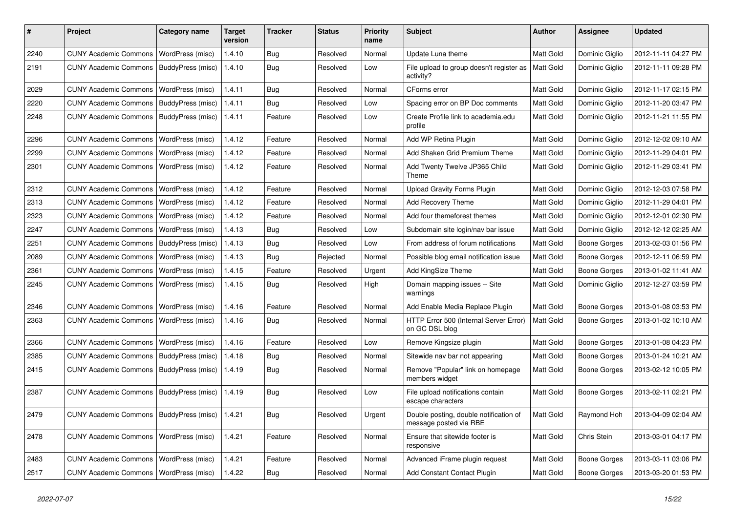| #    | Project                                            | <b>Category name</b>     | <b>Target</b><br>version | <b>Tracker</b> | <b>Status</b> | <b>Priority</b><br>name | <b>Subject</b>                                                   | <b>Author</b>    | Assignee            | <b>Updated</b>      |
|------|----------------------------------------------------|--------------------------|--------------------------|----------------|---------------|-------------------------|------------------------------------------------------------------|------------------|---------------------|---------------------|
| 2240 | <b>CUNY Academic Commons</b>                       | WordPress (misc)         | 1.4.10                   | Bug            | Resolved      | Normal                  | Update Luna theme                                                | Matt Gold        | Dominic Giglio      | 2012-11-11 04:27 PM |
| 2191 | <b>CUNY Academic Commons</b>                       | BuddyPress (misc)        | 1.4.10                   | Bug            | Resolved      | Low                     | File upload to group doesn't register as<br>activity?            | Matt Gold        | Dominic Giglio      | 2012-11-11 09:28 PM |
| 2029 | <b>CUNY Academic Commons</b>                       | WordPress (misc)         | 1.4.11                   | Bug            | Resolved      | Normal                  | CForms error                                                     | Matt Gold        | Dominic Giglio      | 2012-11-17 02:15 PM |
| 2220 | <b>CUNY Academic Commons</b>                       | <b>BuddyPress (misc)</b> | 1.4.11                   | Bug            | Resolved      | Low                     | Spacing error on BP Doc comments                                 | Matt Gold        | Dominic Giglio      | 2012-11-20 03:47 PM |
| 2248 | <b>CUNY Academic Commons</b>                       | BuddyPress (misc)        | 1.4.11                   | Feature        | Resolved      | Low                     | Create Profile link to academia.edu<br>profile                   | Matt Gold        | Dominic Giglio      | 2012-11-21 11:55 PM |
| 2296 | <b>CUNY Academic Commons</b>                       | WordPress (misc)         | 1.4.12                   | Feature        | Resolved      | Normal                  | Add WP Retina Plugin                                             | Matt Gold        | Dominic Giglio      | 2012-12-02 09:10 AM |
| 2299 | <b>CUNY Academic Commons</b>                       | WordPress (misc)         | 1.4.12                   | Feature        | Resolved      | Normal                  | Add Shaken Grid Premium Theme                                    | Matt Gold        | Dominic Giglio      | 2012-11-29 04:01 PM |
| 2301 | <b>CUNY Academic Commons</b>                       | WordPress (misc)         | 1.4.12                   | Feature        | Resolved      | Normal                  | Add Twenty Twelve JP365 Child<br>Theme                           | <b>Matt Gold</b> | Dominic Giglio      | 2012-11-29 03:41 PM |
| 2312 | <b>CUNY Academic Commons</b>                       | <b>WordPress (misc)</b>  | 1.4.12                   | Feature        | Resolved      | Normal                  | <b>Upload Gravity Forms Plugin</b>                               | Matt Gold        | Dominic Giglio      | 2012-12-03 07:58 PM |
| 2313 | <b>CUNY Academic Commons</b>                       | WordPress (misc)         | 1.4.12                   | Feature        | Resolved      | Normal                  | Add Recovery Theme                                               | <b>Matt Gold</b> | Dominic Giglio      | 2012-11-29 04:01 PM |
| 2323 | <b>CUNY Academic Commons</b>                       | WordPress (misc)         | 1.4.12                   | Feature        | Resolved      | Normal                  | Add four themeforest themes                                      | Matt Gold        | Dominic Giglio      | 2012-12-01 02:30 PM |
| 2247 | <b>CUNY Academic Commons</b>                       | WordPress (misc)         | 1.4.13                   | Bug            | Resolved      | Low                     | Subdomain site login/nav bar issue                               | Matt Gold        | Dominic Giglio      | 2012-12-12 02:25 AM |
| 2251 | <b>CUNY Academic Commons</b>                       | BuddyPress (misc)        | 1.4.13                   | Bug            | Resolved      | Low                     | From address of forum notifications                              | Matt Gold        | <b>Boone Gorges</b> | 2013-02-03 01:56 PM |
| 2089 | <b>CUNY Academic Commons</b>                       | WordPress (misc)         | 1.4.13                   | Bug            | Rejected      | Normal                  | Possible blog email notification issue                           | Matt Gold        | <b>Boone Gorges</b> | 2012-12-11 06:59 PM |
| 2361 | <b>CUNY Academic Commons</b>                       | WordPress (misc)         | 1.4.15                   | Feature        | Resolved      | Urgent                  | Add KingSize Theme                                               | Matt Gold        | Boone Gorges        | 2013-01-02 11:41 AM |
| 2245 | <b>CUNY Academic Commons</b>                       | WordPress (misc)         | 1.4.15                   | Bug            | Resolved      | High                    | Domain mapping issues -- Site<br>warnings                        | <b>Matt Gold</b> | Dominic Giglio      | 2012-12-27 03:59 PM |
| 2346 | <b>CUNY Academic Commons</b>                       | WordPress (misc)         | 1.4.16                   | Feature        | Resolved      | Normal                  | Add Enable Media Replace Plugin                                  | Matt Gold        | <b>Boone Gorges</b> | 2013-01-08 03:53 PM |
| 2363 | <b>CUNY Academic Commons</b>                       | WordPress (misc)         | 1.4.16                   | Bug            | Resolved      | Normal                  | HTTP Error 500 (Internal Server Error)<br>on GC DSL blog         | <b>Matt Gold</b> | <b>Boone Gorges</b> | 2013-01-02 10:10 AM |
| 2366 | <b>CUNY Academic Commons</b>                       | WordPress (misc)         | 1.4.16                   | Feature        | Resolved      | Low                     | Remove Kingsize plugin                                           | Matt Gold        | <b>Boone Gorges</b> | 2013-01-08 04:23 PM |
| 2385 | <b>CUNY Academic Commons</b>                       | BuddyPress (misc)        | 1.4.18                   | Bug            | Resolved      | Normal                  | Sitewide nav bar not appearing                                   | Matt Gold        | <b>Boone Gorges</b> | 2013-01-24 10:21 AM |
| 2415 | <b>CUNY Academic Commons</b>                       | BuddyPress (misc)        | 1.4.19                   | <b>Bug</b>     | Resolved      | Normal                  | Remove "Popular" link on homepage<br>members widget              | Matt Gold        | <b>Boone Gorges</b> | 2013-02-12 10:05 PM |
| 2387 | <b>CUNY Academic Commons</b>                       | BuddyPress (misc)        | 1.4.19                   | Bug            | Resolved      | Low                     | File upload notifications contain<br>escape characters           | Matt Gold        | <b>Boone Gorges</b> | 2013-02-11 02:21 PM |
| 2479 | CUNY Academic Commons   BuddyPress (misc)   1.4.21 |                          |                          | Bug            | Resolved      | Urgent                  | Double posting, double notification of<br>message posted via RBE | Matt Gold        | Raymond Hoh         | 2013-04-09 02:04 AM |
| 2478 | CUNY Academic Commons   WordPress (misc)           |                          | 1.4.21                   | Feature        | Resolved      | Normal                  | Ensure that sitewide footer is<br>responsive                     | Matt Gold        | Chris Stein         | 2013-03-01 04:17 PM |
| 2483 | CUNY Academic Commons   WordPress (misc)           |                          | 1.4.21                   | Feature        | Resolved      | Normal                  | Advanced iFrame plugin request                                   | Matt Gold        | Boone Gorges        | 2013-03-11 03:06 PM |
| 2517 | CUNY Academic Commons   WordPress (misc)           |                          | 1.4.22                   | <b>Bug</b>     | Resolved      | Normal                  | Add Constant Contact Plugin                                      | Matt Gold        | <b>Boone Gorges</b> | 2013-03-20 01:53 PM |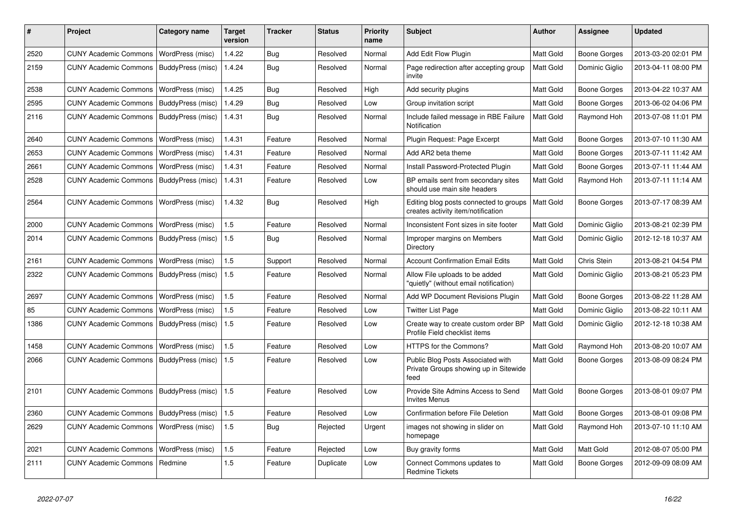| #    | Project                      | Category name     | <b>Target</b><br>version | <b>Tracker</b> | <b>Status</b> | <b>Priority</b><br>name | <b>Subject</b>                                                                     | <b>Author</b>    | <b>Assignee</b>     | <b>Updated</b>      |
|------|------------------------------|-------------------|--------------------------|----------------|---------------|-------------------------|------------------------------------------------------------------------------------|------------------|---------------------|---------------------|
| 2520 | <b>CUNY Academic Commons</b> | WordPress (misc)  | 1.4.22                   | Bug            | Resolved      | Normal                  | Add Edit Flow Plugin                                                               | Matt Gold        | Boone Gorges        | 2013-03-20 02:01 PM |
| 2159 | <b>CUNY Academic Commons</b> | BuddyPress (misc) | 1.4.24                   | Bug            | Resolved      | Normal                  | Page redirection after accepting group<br>invite                                   | Matt Gold        | Dominic Giglio      | 2013-04-11 08:00 PM |
| 2538 | <b>CUNY Academic Commons</b> | WordPress (misc)  | 1.4.25                   | <b>Bug</b>     | Resolved      | High                    | Add security plugins                                                               | Matt Gold        | <b>Boone Gorges</b> | 2013-04-22 10:37 AM |
| 2595 | <b>CUNY Academic Commons</b> | BuddyPress (misc) | 1.4.29                   | <b>Bug</b>     | Resolved      | Low                     | Group invitation script                                                            | Matt Gold        | Boone Gorges        | 2013-06-02 04:06 PM |
| 2116 | <b>CUNY Academic Commons</b> | BuddyPress (misc) | 1.4.31                   | Bug            | Resolved      | Normal                  | Include failed message in RBE Failure<br>Notification                              | Matt Gold        | Raymond Hoh         | 2013-07-08 11:01 PM |
| 2640 | <b>CUNY Academic Commons</b> | WordPress (misc)  | 1.4.31                   | Feature        | Resolved      | Normal                  | Plugin Request: Page Excerpt                                                       | Matt Gold        | Boone Gorges        | 2013-07-10 11:30 AM |
| 2653 | <b>CUNY Academic Commons</b> | WordPress (misc)  | 1.4.31                   | Feature        | Resolved      | Normal                  | Add AR2 beta theme                                                                 | <b>Matt Gold</b> | Boone Gorges        | 2013-07-11 11:42 AM |
| 2661 | <b>CUNY Academic Commons</b> | WordPress (misc)  | 1.4.31                   | Feature        | Resolved      | Normal                  | Install Password-Protected Plugin                                                  | Matt Gold        | Boone Gorges        | 2013-07-11 11:44 AM |
| 2528 | <b>CUNY Academic Commons</b> | BuddyPress (misc) | 1.4.31                   | Feature        | Resolved      | Low                     | BP emails sent from secondary sites<br>should use main site headers                | <b>Matt Gold</b> | Raymond Hoh         | 2013-07-11 11:14 AM |
| 2564 | <b>CUNY Academic Commons</b> | WordPress (misc)  | 1.4.32                   | Bug            | Resolved      | High                    | Editing blog posts connected to groups<br>creates activity item/notification       | <b>Matt Gold</b> | Boone Gorges        | 2013-07-17 08:39 AM |
| 2000 | <b>CUNY Academic Commons</b> | WordPress (misc)  | 1.5                      | Feature        | Resolved      | Normal                  | Inconsistent Font sizes in site footer                                             | Matt Gold        | Dominic Giglio      | 2013-08-21 02:39 PM |
| 2014 | <b>CUNY Academic Commons</b> | BuddyPress (misc) | 1.5                      | Bug            | Resolved      | Normal                  | Improper margins on Members<br>Directory                                           | Matt Gold        | Dominic Giglio      | 2012-12-18 10:37 AM |
| 2161 | <b>CUNY Academic Commons</b> | WordPress (misc)  | 1.5                      | Support        | Resolved      | Normal                  | <b>Account Confirmation Email Edits</b>                                            | Matt Gold        | Chris Stein         | 2013-08-21 04:54 PM |
| 2322 | <b>CUNY Academic Commons</b> | BuddyPress (misc) | 1.5                      | Feature        | Resolved      | Normal                  | Allow File uploads to be added<br>"quietly" (without email notification)           | <b>Matt Gold</b> | Dominic Giglio      | 2013-08-21 05:23 PM |
| 2697 | <b>CUNY Academic Commons</b> | WordPress (misc)  | 1.5                      | Feature        | Resolved      | Normal                  | Add WP Document Revisions Plugin                                                   | Matt Gold        | Boone Gorges        | 2013-08-22 11:28 AM |
| 85   | <b>CUNY Academic Commons</b> | WordPress (misc)  | 1.5                      | Feature        | Resolved      | Low                     | <b>Twitter List Page</b>                                                           | Matt Gold        | Dominic Giglio      | 2013-08-22 10:11 AM |
| 1386 | <b>CUNY Academic Commons</b> | BuddyPress (misc) | 1.5                      | Feature        | Resolved      | Low                     | Create way to create custom order BP<br>Profile Field checklist items              | Matt Gold        | Dominic Giglio      | 2012-12-18 10:38 AM |
| 1458 | <b>CUNY Academic Commons</b> | WordPress (misc)  | 1.5                      | Feature        | Resolved      | Low                     | HTTPS for the Commons?                                                             | Matt Gold        | Raymond Hoh         | 2013-08-20 10:07 AM |
| 2066 | <b>CUNY Academic Commons</b> | BuddyPress (misc) | 1.5                      | Feature        | Resolved      | Low                     | Public Blog Posts Associated with<br>Private Groups showing up in Sitewide<br>feed | Matt Gold        | Boone Gorges        | 2013-08-09 08:24 PM |
| 2101 | <b>CUNY Academic Commons</b> | BuddyPress (misc) | 1.5                      | Feature        | Resolved      | Low                     | Provide Site Admins Access to Send<br><b>Invites Menus</b>                         | Matt Gold        | Boone Gorges        | 2013-08-01 09:07 PM |
| 2360 | <b>CUNY Academic Commons</b> | BuddyPress (misc) | 1.5                      | Feature        | Resolved      | Low                     | <b>Confirmation before File Deletion</b>                                           | Matt Gold        | Boone Gorges        | 2013-08-01 09:08 PM |
| 2629 | <b>CUNY Academic Commons</b> | WordPress (misc)  | 1.5                      | Bug            | Rejected      | Urgent                  | images not showing in slider on<br>homepage                                        | Matt Gold        | Raymond Hoh         | 2013-07-10 11:10 AM |
| 2021 | <b>CUNY Academic Commons</b> | WordPress (misc)  | 1.5                      | Feature        | Rejected      | Low                     | Buy gravity forms                                                                  | Matt Gold        | Matt Gold           | 2012-08-07 05:00 PM |
| 2111 | <b>CUNY Academic Commons</b> | Redmine           | 1.5                      | Feature        | Duplicate     | Low                     | Connect Commons updates to<br><b>Redmine Tickets</b>                               | Matt Gold        | Boone Gorges        | 2012-09-09 08:09 AM |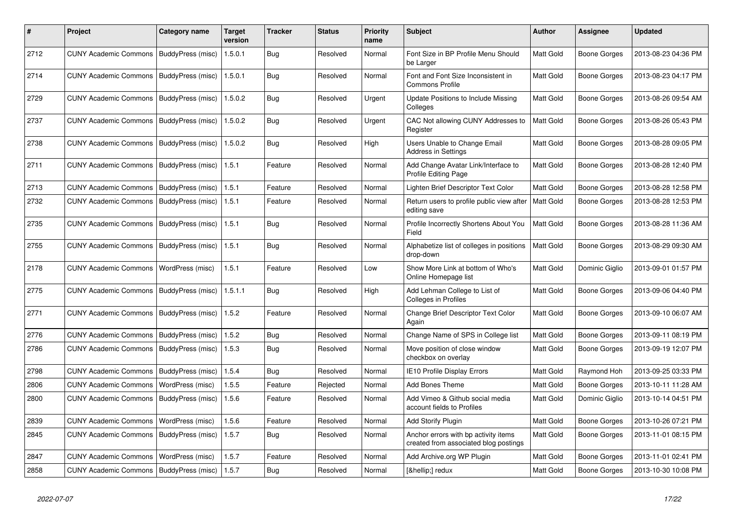| #    | Project                                   | Category name     | <b>Target</b><br>version | Tracker    | <b>Status</b> | <b>Priority</b><br>name | <b>Subject</b>                                                                | <b>Author</b>    | Assignee            | <b>Updated</b>      |
|------|-------------------------------------------|-------------------|--------------------------|------------|---------------|-------------------------|-------------------------------------------------------------------------------|------------------|---------------------|---------------------|
| 2712 | <b>CUNY Academic Commons</b>              | BuddyPress (misc) | 1.5.0.1                  | Bug        | Resolved      | Normal                  | Font Size in BP Profile Menu Should<br>be Larger                              | Matt Gold        | Boone Gorges        | 2013-08-23 04:36 PM |
| 2714 | <b>CUNY Academic Commons</b>              | BuddyPress (misc) | 1.5.0.1                  | Bug        | Resolved      | Normal                  | Font and Font Size Inconsistent in<br><b>Commons Profile</b>                  | Matt Gold        | <b>Boone Gorges</b> | 2013-08-23 04:17 PM |
| 2729 | <b>CUNY Academic Commons</b>              | BuddyPress (misc) | 1.5.0.2                  | <b>Bug</b> | Resolved      | Urgent                  | Update Positions to Include Missing<br>Colleges                               | Matt Gold        | Boone Gorges        | 2013-08-26 09:54 AM |
| 2737 | <b>CUNY Academic Commons</b>              | BuddyPress (misc) | 1.5.0.2                  | Bug        | Resolved      | Urgent                  | CAC Not allowing CUNY Addresses to<br>Register                                | Matt Gold        | Boone Gorges        | 2013-08-26 05:43 PM |
| 2738 | CUNY Academic Commons   BuddyPress (misc) |                   | 1.5.0.2                  | Bug        | Resolved      | High                    | Users Unable to Change Email<br><b>Address in Settings</b>                    | Matt Gold        | Boone Gorges        | 2013-08-28 09:05 PM |
| 2711 | <b>CUNY Academic Commons</b>              | BuddyPress (misc) | 1.5.1                    | Feature    | Resolved      | Normal                  | Add Change Avatar Link/Interface to<br><b>Profile Editing Page</b>            | Matt Gold        | Boone Gorges        | 2013-08-28 12:40 PM |
| 2713 | <b>CUNY Academic Commons</b>              | BuddyPress (misc) | 1.5.1                    | Feature    | Resolved      | Normal                  | Lighten Brief Descriptor Text Color                                           | Matt Gold        | Boone Gorges        | 2013-08-28 12:58 PM |
| 2732 | <b>CUNY Academic Commons</b>              | BuddyPress (misc) | 1.5.1                    | Feature    | Resolved      | Normal                  | Return users to profile public view after<br>editing save                     | <b>Matt Gold</b> | Boone Gorges        | 2013-08-28 12:53 PM |
| 2735 | <b>CUNY Academic Commons</b>              | BuddyPress (misc) | 1.5.1                    | Bug        | Resolved      | Normal                  | Profile Incorrectly Shortens About You<br>Field                               | Matt Gold        | Boone Gorges        | 2013-08-28 11:36 AM |
| 2755 | CUNY Academic Commons   BuddyPress (misc) |                   | 1.5.1                    | Bug        | Resolved      | Normal                  | Alphabetize list of colleges in positions<br>drop-down                        | Matt Gold        | <b>Boone Gorges</b> | 2013-08-29 09:30 AM |
| 2178 | <b>CUNY Academic Commons</b>              | WordPress (misc)  | 1.5.1                    | Feature    | Resolved      | Low                     | Show More Link at bottom of Who's<br>Online Homepage list                     | Matt Gold        | Dominic Giglio      | 2013-09-01 01:57 PM |
| 2775 | <b>CUNY Academic Commons</b>              | BuddyPress (misc) | 1.5.1.1                  | Bug        | Resolved      | High                    | Add Lehman College to List of<br>Colleges in Profiles                         | Matt Gold        | Boone Gorges        | 2013-09-06 04:40 PM |
| 2771 | <b>CUNY Academic Commons</b>              | BuddyPress (misc) | 1.5.2                    | Feature    | Resolved      | Normal                  | Change Brief Descriptor Text Color<br>Again                                   | Matt Gold        | Boone Gorges        | 2013-09-10 06:07 AM |
| 2776 | <b>CUNY Academic Commons</b>              | BuddyPress (misc) | 1.5.2                    | Bug        | Resolved      | Normal                  | Change Name of SPS in College list                                            | Matt Gold        | <b>Boone Gorges</b> | 2013-09-11 08:19 PM |
| 2786 | CUNY Academic Commons   BuddyPress (misc) |                   | 1.5.3                    | Bug        | Resolved      | Normal                  | Move position of close window<br>checkbox on overlay                          | Matt Gold        | Boone Gorges        | 2013-09-19 12:07 PM |
| 2798 | <b>CUNY Academic Commons</b>              | BuddyPress (misc) | 1.5.4                    | Bug        | Resolved      | Normal                  | <b>IE10 Profile Display Errors</b>                                            | Matt Gold        | Raymond Hoh         | 2013-09-25 03:33 PM |
| 2806 | <b>CUNY Academic Commons</b>              | WordPress (misc)  | 1.5.5                    | Feature    | Rejected      | Normal                  | <b>Add Bones Theme</b>                                                        | Matt Gold        | Boone Gorges        | 2013-10-11 11:28 AM |
| 2800 | <b>CUNY Academic Commons</b>              | BuddyPress (misc) | 1.5.6                    | Feature    | Resolved      | Normal                  | Add Vimeo & Github social media<br>account fields to Profiles                 | <b>Matt Gold</b> | Dominic Giglio      | 2013-10-14 04:51 PM |
| 2839 | <b>CUNY Academic Commons</b>              | WordPress (misc)  | 1.5.6                    | Feature    | Resolved      | Normal                  | Add Storify Plugin                                                            | Matt Gold        | Boone Gorges        | 2013-10-26 07:21 PM |
| 2845 | <b>CUNY Academic Commons</b>              | BuddyPress (misc) | 1.5.7                    | Bug        | Resolved      | Normal                  | Anchor errors with bp activity items<br>created from associated blog postings | Matt Gold        | Boone Gorges        | 2013-11-01 08:15 PM |
| 2847 | <b>CUNY Academic Commons</b>              | WordPress (misc)  | 1.5.7                    | Feature    | Resolved      | Normal                  | Add Archive.org WP Plugin                                                     | Matt Gold        | Boone Gorges        | 2013-11-01 02:41 PM |
| 2858 | CUNY Academic Commons   BuddyPress (misc) |                   | 1.5.7                    | Bug        | Resolved      | Normal                  | […] redux                                                                     | Matt Gold        | <b>Boone Gorges</b> | 2013-10-30 10:08 PM |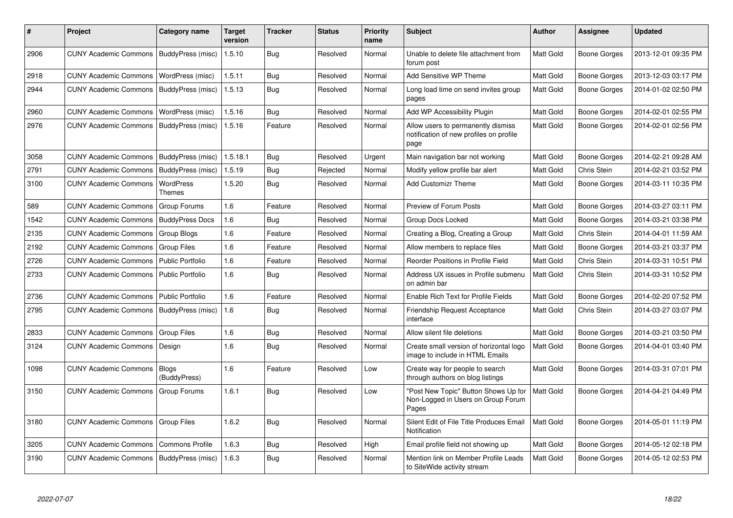| $\vert$ # | Project                                   | Category name           | <b>Target</b><br>version | <b>Tracker</b> | <b>Status</b> | <b>Priority</b><br>name | <b>Subject</b>                                                                        | <b>Author</b>    | <b>Assignee</b>     | <b>Updated</b>      |
|-----------|-------------------------------------------|-------------------------|--------------------------|----------------|---------------|-------------------------|---------------------------------------------------------------------------------------|------------------|---------------------|---------------------|
| 2906      | CUNY Academic Commons   BuddyPress (misc) |                         | 1.5.10                   | Bug            | Resolved      | Normal                  | Unable to delete file attachment from<br>forum post                                   | <b>Matt Gold</b> | Boone Gorges        | 2013-12-01 09:35 PM |
| 2918      | <b>CUNY Academic Commons</b>              | WordPress (misc)        | 1.5.11                   | Bug            | Resolved      | Normal                  | Add Sensitive WP Theme                                                                | Matt Gold        | Boone Gorges        | 2013-12-03 03:17 PM |
| 2944      | CUNY Academic Commons   BuddyPress (misc) |                         | 1.5.13                   | <b>Bug</b>     | Resolved      | Normal                  | Long load time on send invites group<br>pages                                         | Matt Gold        | Boone Gorges        | 2014-01-02 02:50 PM |
| 2960      | <b>CUNY Academic Commons</b>              | WordPress (misc)        | 1.5.16                   | Bug            | Resolved      | Normal                  | Add WP Accessibility Plugin                                                           | <b>Matt Gold</b> | Boone Gorges        | 2014-02-01 02:55 PM |
| 2976      | CUNY Academic Commons   BuddyPress (misc) |                         | 1.5.16                   | Feature        | Resolved      | Normal                  | Allow users to permanently dismiss<br>notification of new profiles on profile<br>page | Matt Gold        | Boone Gorges        | 2014-02-01 02:56 PM |
| 3058      | <b>CUNY Academic Commons</b>              | BuddyPress (misc)       | 1.5.18.1                 | Bug            | Resolved      | Urgent                  | Main navigation bar not working                                                       | <b>Matt Gold</b> | Boone Gorges        | 2014-02-21 09:28 AM |
| 2791      | <b>CUNY Academic Commons</b>              | BuddyPress (misc)       | 1.5.19                   | Bug            | Rejected      | Normal                  | Modify yellow profile bar alert                                                       | <b>Matt Gold</b> | Chris Stein         | 2014-02-21 03:52 PM |
| 3100      | <b>CUNY Academic Commons</b>              | WordPress<br>Themes     | 1.5.20                   | Bug            | Resolved      | Normal                  | <b>Add Customizr Theme</b>                                                            | Matt Gold        | Boone Gorges        | 2014-03-11 10:35 PM |
| 589       | <b>CUNY Academic Commons</b>              | Group Forums            | 1.6                      | Feature        | Resolved      | Normal                  | Preview of Forum Posts                                                                | Matt Gold        | <b>Boone Gorges</b> | 2014-03-27 03:11 PM |
| 1542      | <b>CUNY Academic Commons</b>              | <b>BuddyPress Docs</b>  | 1.6                      | <b>Bug</b>     | Resolved      | Normal                  | Group Docs Locked                                                                     | Matt Gold        | Boone Gorges        | 2014-03-21 03:38 PM |
| 2135      | <b>CUNY Academic Commons</b>              | <b>Group Blogs</b>      | 1.6                      | Feature        | Resolved      | Normal                  | Creating a Blog, Creating a Group                                                     | Matt Gold        | Chris Stein         | 2014-04-01 11:59 AM |
| 2192      | <b>CUNY Academic Commons</b>              | <b>Group Files</b>      | 1.6                      | Feature        | Resolved      | Normal                  | Allow members to replace files                                                        | <b>Matt Gold</b> | Boone Gorges        | 2014-03-21 03:37 PM |
| 2726      | <b>CUNY Academic Commons</b>              | <b>Public Portfolio</b> | 1.6                      | Feature        | Resolved      | Normal                  | Reorder Positions in Profile Field                                                    | <b>Matt Gold</b> | Chris Stein         | 2014-03-31 10:51 PM |
| 2733      | <b>CUNY Academic Commons</b>              | <b>Public Portfolio</b> | 1.6                      | <b>Bug</b>     | Resolved      | Normal                  | Address UX issues in Profile submenu<br>on admin bar                                  | <b>Matt Gold</b> | Chris Stein         | 2014-03-31 10:52 PM |
| 2736      | <b>CUNY Academic Commons</b>              | <b>Public Portfolio</b> | 1.6                      | Feature        | Resolved      | Normal                  | Enable Rich Text for Profile Fields                                                   | Matt Gold        | Boone Gorges        | 2014-02-20 07:52 PM |
| 2795      | <b>CUNY Academic Commons</b>              | BuddyPress (misc)       | 1.6                      | Bug            | Resolved      | Normal                  | <b>Friendship Request Acceptance</b><br>interface                                     | <b>Matt Gold</b> | Chris Stein         | 2014-03-27 03:07 PM |
| 2833      | <b>CUNY Academic Commons</b>              | <b>Group Files</b>      | 1.6                      | Bug            | Resolved      | Normal                  | Allow silent file deletions                                                           | Matt Gold        | Boone Gorges        | 2014-03-21 03:50 PM |
| 3124      | <b>CUNY Academic Commons</b>              | Design                  | 1.6                      | <b>Bug</b>     | Resolved      | Normal                  | Create small version of horizontal logo<br>image to include in HTML Emails            | <b>Matt Gold</b> | Boone Gorges        | 2014-04-01 03:40 PM |
| 1098      | <b>CUNY Academic Commons</b>              | Blogs<br>(BuddyPress)   | 1.6                      | Feature        | Resolved      | Low                     | Create way for people to search<br>through authors on blog listings                   | <b>Matt Gold</b> | Boone Gorges        | 2014-03-31 07:01 PM |
| 3150      | <b>CUNY Academic Commons</b>              | Group Forums            | 1.6.1                    | Bug            | Resolved      | Low                     | "Post New Topic" Button Shows Up for<br>Non-Logged in Users on Group Forum<br>Pages   | <b>Matt Gold</b> | Boone Gorges        | 2014-04-21 04:49 PM |
| 3180      | <b>CUNY Academic Commons</b>              | <b>Group Files</b>      | 1.6.2                    | Bug            | Resolved      | Normal                  | Silent Edit of File Title Produces Email<br>Notification                              | Matt Gold        | Boone Gorges        | 2014-05-01 11:19 PM |
| 3205      | <b>CUNY Academic Commons</b>              | <b>Commons Profile</b>  | 1.6.3                    | <b>Bug</b>     | Resolved      | High                    | Email profile field not showing up                                                    | <b>Matt Gold</b> | Boone Gorges        | 2014-05-12 02:18 PM |
| 3190      | <b>CUNY Academic Commons</b>              | BuddyPress (misc)       | 1.6.3                    | Bug            | Resolved      | Normal                  | Mention link on Member Profile Leads<br>to SiteWide activity stream                   | <b>Matt Gold</b> | Boone Gorges        | 2014-05-12 02:53 PM |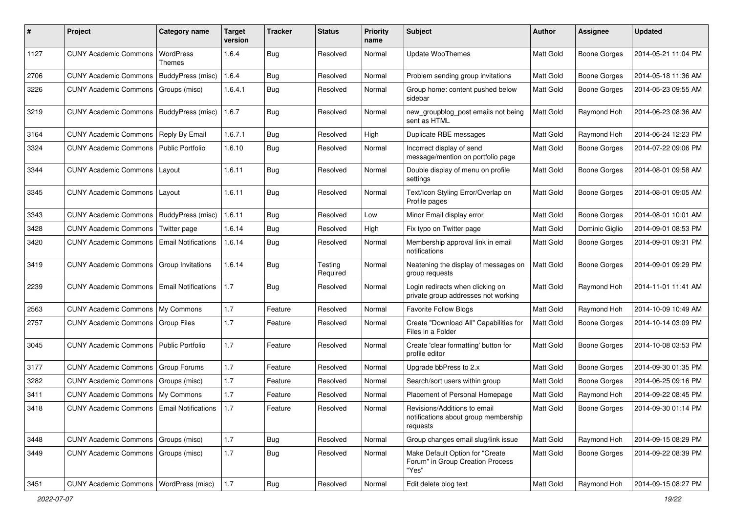| #    | Project                                            | <b>Category name</b>       | <b>Target</b><br>version | <b>Tracker</b> | <b>Status</b>       | <b>Priority</b><br>name | Subject                                                                          | <b>Author</b> | Assignee            | <b>Updated</b>      |
|------|----------------------------------------------------|----------------------------|--------------------------|----------------|---------------------|-------------------------|----------------------------------------------------------------------------------|---------------|---------------------|---------------------|
| 1127 | <b>CUNY Academic Commons</b>                       | WordPress<br>Themes        | 1.6.4                    | <b>Bug</b>     | Resolved            | Normal                  | <b>Update WooThemes</b>                                                          | Matt Gold     | <b>Boone Gorges</b> | 2014-05-21 11:04 PM |
| 2706 | <b>CUNY Academic Commons</b>                       | BuddyPress (misc)          | 1.6.4                    | Bug            | Resolved            | Normal                  | Problem sending group invitations                                                | Matt Gold     | <b>Boone Gorges</b> | 2014-05-18 11:36 AM |
| 3226 | <b>CUNY Academic Commons</b>                       | Groups (misc)              | 1.6.4.1                  | <b>Bug</b>     | Resolved            | Normal                  | Group home: content pushed below<br>sidebar                                      | Matt Gold     | <b>Boone Gorges</b> | 2014-05-23 09:55 AM |
| 3219 | <b>CUNY Academic Commons</b>                       | BuddyPress (misc)          | 1.6.7                    | Bug            | Resolved            | Normal                  | new_groupblog_post emails not being<br>sent as HTML                              | Matt Gold     | Raymond Hoh         | 2014-06-23 08:36 AM |
| 3164 | <b>CUNY Academic Commons</b>                       | Reply By Email             | 1.6.7.1                  | Bug            | Resolved            | High                    | Duplicate RBE messages                                                           | Matt Gold     | Raymond Hoh         | 2014-06-24 12:23 PM |
| 3324 | <b>CUNY Academic Commons</b>                       | <b>Public Portfolio</b>    | 1.6.10                   | Bug            | Resolved            | Normal                  | Incorrect display of send<br>message/mention on portfolio page                   | Matt Gold     | <b>Boone Gorges</b> | 2014-07-22 09:06 PM |
| 3344 | <b>CUNY Academic Commons</b>                       | Layout                     | 1.6.11                   | Bug            | Resolved            | Normal                  | Double display of menu on profile<br>settings                                    | Matt Gold     | <b>Boone Gorges</b> | 2014-08-01 09:58 AM |
| 3345 | <b>CUNY Academic Commons</b>                       | Layout                     | 1.6.11                   | Bug            | Resolved            | Normal                  | Text/Icon Styling Error/Overlap on<br>Profile pages                              | Matt Gold     | <b>Boone Gorges</b> | 2014-08-01 09:05 AM |
| 3343 | <b>CUNY Academic Commons</b>                       | BuddyPress (misc)          | 1.6.11                   | <b>Bug</b>     | Resolved            | Low                     | Minor Email display error                                                        | Matt Gold     | <b>Boone Gorges</b> | 2014-08-01 10:01 AM |
| 3428 | <b>CUNY Academic Commons</b>                       | Twitter page               | 1.6.14                   | <b>Bug</b>     | Resolved            | High                    | Fix typo on Twitter page                                                         | Matt Gold     | Dominic Giglio      | 2014-09-01 08:53 PM |
| 3420 | <b>CUNY Academic Commons</b>                       | <b>Email Notifications</b> | 1.6.14                   | Bug            | Resolved            | Normal                  | Membership approval link in email<br>notifications                               | Matt Gold     | <b>Boone Gorges</b> | 2014-09-01 09:31 PM |
| 3419 | <b>CUNY Academic Commons</b>                       | Group Invitations          | 1.6.14                   | Bug            | Testing<br>Required | Normal                  | Neatening the display of messages on<br>group requests                           | Matt Gold     | <b>Boone Gorges</b> | 2014-09-01 09:29 PM |
| 2239 | <b>CUNY Academic Commons</b>                       | <b>Email Notifications</b> | 1.7                      | Bug            | Resolved            | Normal                  | Login redirects when clicking on<br>private group addresses not working          | Matt Gold     | Raymond Hoh         | 2014-11-01 11:41 AM |
| 2563 | <b>CUNY Academic Commons</b>                       | My Commons                 | 1.7                      | Feature        | Resolved            | Normal                  | <b>Favorite Follow Blogs</b>                                                     | Matt Gold     | Raymond Hoh         | 2014-10-09 10:49 AM |
| 2757 | <b>CUNY Academic Commons</b>                       | <b>Group Files</b>         | 1.7                      | Feature        | Resolved            | Normal                  | Create "Download All" Capabilities for<br>Files in a Folder                      | Matt Gold     | Boone Gorges        | 2014-10-14 03:09 PM |
| 3045 | <b>CUNY Academic Commons</b>                       | Public Portfolio           | 1.7                      | Feature        | Resolved            | Normal                  | Create 'clear formatting' button for<br>profile editor                           | Matt Gold     | <b>Boone Gorges</b> | 2014-10-08 03:53 PM |
| 3177 | <b>CUNY Academic Commons</b>                       | Group Forums               | 1.7                      | Feature        | Resolved            | Normal                  | Upgrade bbPress to 2.x                                                           | Matt Gold     | <b>Boone Gorges</b> | 2014-09-30 01:35 PM |
| 3282 | <b>CUNY Academic Commons</b>                       | Groups (misc)              | 1.7                      | Feature        | Resolved            | Normal                  | Search/sort users within group                                                   | Matt Gold     | <b>Boone Gorges</b> | 2014-06-25 09:16 PM |
| 3411 | <b>CUNY Academic Commons</b>                       | My Commons                 | 1.7                      | Feature        | Resolved            | Normal                  | Placement of Personal Homepage                                                   | Matt Gold     | Raymond Hoh         | 2014-09-22 08:45 PM |
| 3418 | <b>CUNY Academic Commons   Email Notifications</b> |                            | 1.7                      | Feature        | Resolved            | Normal                  | Revisions/Additions to email<br>notifications about group membership<br>requests | Matt Gold     | <b>Boone Gorges</b> | 2014-09-30 01:14 PM |
| 3448 | <b>CUNY Academic Commons</b>                       | Groups (misc)              | 1.7                      | Bug            | Resolved            | Normal                  | Group changes email slug/link issue                                              | Matt Gold     | Raymond Hoh         | 2014-09-15 08:29 PM |
| 3449 | <b>CUNY Academic Commons</b>                       | Groups (misc)              | 1.7                      | Bug            | Resolved            | Normal                  | Make Default Option for "Create<br>Forum" in Group Creation Process<br>"Yes"     | Matt Gold     | <b>Boone Gorges</b> | 2014-09-22 08:39 PM |
| 3451 | CUNY Academic Commons   WordPress (misc)           |                            | 1.7                      | <b>Bug</b>     | Resolved            | Normal                  | Edit delete blog text                                                            | Matt Gold     | Raymond Hoh         | 2014-09-15 08:27 PM |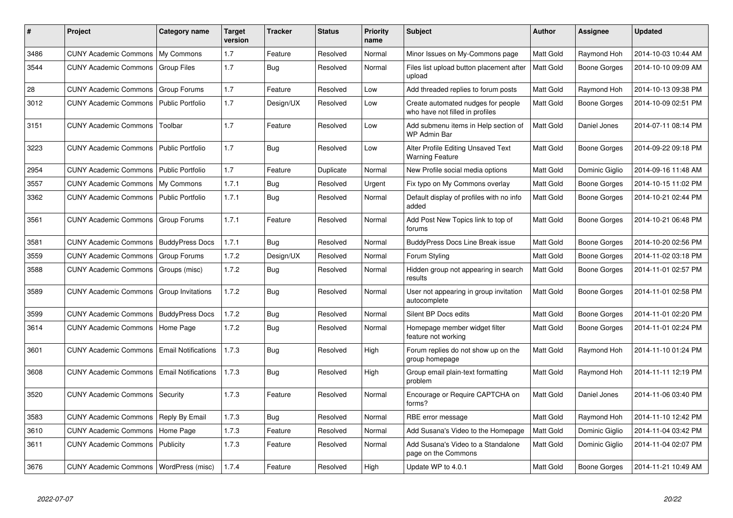| #    | <b>Project</b>                                  | Category name              | <b>Target</b><br>version | Tracker    | <b>Status</b> | <b>Priority</b><br>name | <b>Subject</b>                                                        | <b>Author</b>    | Assignee            | <b>Updated</b>      |
|------|-------------------------------------------------|----------------------------|--------------------------|------------|---------------|-------------------------|-----------------------------------------------------------------------|------------------|---------------------|---------------------|
| 3486 | <b>CUNY Academic Commons</b>                    | My Commons                 | 1.7                      | Feature    | Resolved      | Normal                  | Minor Issues on My-Commons page                                       | Matt Gold        | Raymond Hoh         | 2014-10-03 10:44 AM |
| 3544 | <b>CUNY Academic Commons</b>                    | <b>Group Files</b>         | 1.7                      | <b>Bug</b> | Resolved      | Normal                  | Files list upload button placement after<br>upload                    | Matt Gold        | Boone Gorges        | 2014-10-10 09:09 AM |
| 28   | <b>CUNY Academic Commons</b>                    | <b>Group Forums</b>        | 1.7                      | Feature    | Resolved      | Low                     | Add threaded replies to forum posts                                   | Matt Gold        | Raymond Hoh         | 2014-10-13 09:38 PM |
| 3012 | <b>CUNY Academic Commons</b>                    | <b>Public Portfolio</b>    | 1.7                      | Design/UX  | Resolved      | Low                     | Create automated nudges for people<br>who have not filled in profiles | Matt Gold        | Boone Gorges        | 2014-10-09 02:51 PM |
| 3151 | <b>CUNY Academic Commons</b>                    | Toolbar                    | 1.7                      | Feature    | Resolved      | Low                     | Add submenu items in Help section of<br>WP Admin Bar                  | Matt Gold        | Daniel Jones        | 2014-07-11 08:14 PM |
| 3223 | <b>CUNY Academic Commons</b>                    | Public Portfolio           | 1.7                      | <b>Bug</b> | Resolved      | Low                     | Alter Profile Editing Unsaved Text<br><b>Warning Feature</b>          | Matt Gold        | <b>Boone Gorges</b> | 2014-09-22 09:18 PM |
| 2954 | <b>CUNY Academic Commons</b>                    | <b>Public Portfolio</b>    | 1.7                      | Feature    | Duplicate     | Normal                  | New Profile social media options                                      | Matt Gold        | Dominic Giglio      | 2014-09-16 11:48 AM |
| 3557 | <b>CUNY Academic Commons</b>                    | My Commons                 | 1.7.1                    | Bug        | Resolved      | Urgent                  | Fix typo on My Commons overlay                                        | Matt Gold        | Boone Gorges        | 2014-10-15 11:02 PM |
| 3362 | <b>CUNY Academic Commons   Public Portfolio</b> |                            | 1.7.1                    | Bug        | Resolved      | Normal                  | Default display of profiles with no info<br>added                     | Matt Gold        | Boone Gorges        | 2014-10-21 02:44 PM |
| 3561 | <b>CUNY Academic Commons</b>                    | Group Forums               | 1.7.1                    | Feature    | Resolved      | Normal                  | Add Post New Topics link to top of<br>forums                          | Matt Gold        | Boone Gorges        | 2014-10-21 06:48 PM |
| 3581 | <b>CUNY Academic Commons</b>                    | <b>BuddyPress Docs</b>     | 1.7.1                    | Bug        | Resolved      | Normal                  | <b>BuddyPress Docs Line Break issue</b>                               | Matt Gold        | <b>Boone Gorges</b> | 2014-10-20 02:56 PM |
| 3559 | <b>CUNY Academic Commons</b>                    | Group Forums               | 1.7.2                    | Design/UX  | Resolved      | Normal                  | Forum Styling                                                         | Matt Gold        | Boone Gorges        | 2014-11-02 03:18 PM |
| 3588 | <b>CUNY Academic Commons</b>                    | Groups (misc)              | 1.7.2                    | <b>Bug</b> | Resolved      | Normal                  | Hidden group not appearing in search<br>results                       | <b>Matt Gold</b> | Boone Gorges        | 2014-11-01 02:57 PM |
| 3589 | <b>CUNY Academic Commons</b>                    | Group Invitations          | 1.7.2                    | Bug        | Resolved      | Normal                  | User not appearing in group invitation<br>autocomplete                | Matt Gold        | Boone Gorges        | 2014-11-01 02:58 PM |
| 3599 | <b>CUNY Academic Commons</b>                    | <b>BuddyPress Docs</b>     | 1.7.2                    | Bug        | Resolved      | Normal                  | Silent BP Docs edits                                                  | <b>Matt Gold</b> | Boone Gorges        | 2014-11-01 02:20 PM |
| 3614 | <b>CUNY Academic Commons</b>                    | Home Page                  | 1.7.2                    | Bug        | Resolved      | Normal                  | Homepage member widget filter<br>feature not working                  | Matt Gold        | Boone Gorges        | 2014-11-01 02:24 PM |
| 3601 | <b>CUNY Academic Commons</b>                    | <b>Email Notifications</b> | 1.7.3                    | <b>Bug</b> | Resolved      | High                    | Forum replies do not show up on the<br>group homepage                 | Matt Gold        | Raymond Hoh         | 2014-11-10 01:24 PM |
| 3608 | <b>CUNY Academic Commons</b>                    | <b>Email Notifications</b> | 1.7.3                    | Bug        | Resolved      | High                    | Group email plain-text formatting<br>problem                          | Matt Gold        | Raymond Hoh         | 2014-11-11 12:19 PM |
| 3520 | <b>CUNY Academic Commons</b>                    | Security                   | 1.7.3                    | Feature    | Resolved      | Normal                  | Encourage or Require CAPTCHA on<br>forms?                             | Matt Gold        | Daniel Jones        | 2014-11-06 03:40 PM |
| 3583 | <b>CUNY Academic Commons</b>                    | Reply By Email             | 1.7.3                    | <b>Bug</b> | Resolved      | Normal                  | RBE error message                                                     | Matt Gold        | Raymond Hoh         | 2014-11-10 12:42 PM |
| 3610 | <b>CUNY Academic Commons</b>                    | Home Page                  | 1.7.3                    | Feature    | Resolved      | Normal                  | Add Susana's Video to the Homepage                                    | Matt Gold        | Dominic Giglio      | 2014-11-04 03:42 PM |
| 3611 | <b>CUNY Academic Commons</b>                    | Publicity                  | 1.7.3                    | Feature    | Resolved      | Normal                  | Add Susana's Video to a Standalone<br>page on the Commons             | Matt Gold        | Dominic Giglio      | 2014-11-04 02:07 PM |
| 3676 | CUNY Academic Commons   WordPress (misc)        |                            | 1.7.4                    | Feature    | Resolved      | High                    | Update WP to 4.0.1                                                    | Matt Gold        | Boone Gorges        | 2014-11-21 10:49 AM |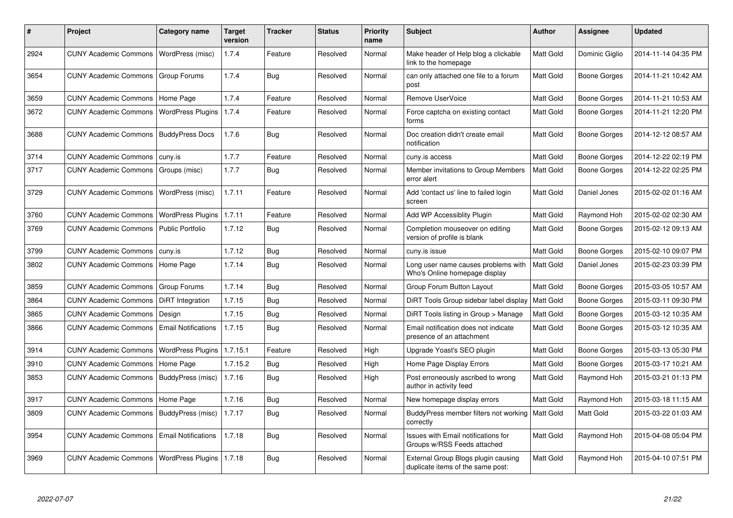| #    | <b>Project</b>                              | Category name              | <b>Target</b><br>version | Tracker    | <b>Status</b> | <b>Priority</b><br>name | <b>Subject</b>                                                           | <b>Author</b>    | Assignee            | <b>Updated</b>      |
|------|---------------------------------------------|----------------------------|--------------------------|------------|---------------|-------------------------|--------------------------------------------------------------------------|------------------|---------------------|---------------------|
| 2924 | CUNY Academic Commons   WordPress (misc)    |                            | 1.7.4                    | Feature    | Resolved      | Normal                  | Make header of Help blog a clickable<br>link to the homepage             | Matt Gold        | Dominic Giglio      | 2014-11-14 04:35 PM |
| 3654 | <b>CUNY Academic Commons   Group Forums</b> |                            | 1.7.4                    | Bug        | Resolved      | Normal                  | can only attached one file to a forum<br>post                            | Matt Gold        | Boone Gorges        | 2014-11-21 10:42 AM |
| 3659 | <b>CUNY Academic Commons</b>                | Home Page                  | 1.7.4                    | Feature    | Resolved      | Normal                  | Remove UserVoice                                                         | Matt Gold        | Boone Gorges        | 2014-11-21 10:53 AM |
| 3672 | <b>CUNY Academic Commons</b>                | WordPress Plugins          | 1.7.4                    | Feature    | Resolved      | Normal                  | Force captcha on existing contact<br>forms                               | Matt Gold        | Boone Gorges        | 2014-11-21 12:20 PM |
| 3688 | <b>CUNY Academic Commons</b>                | <b>BuddyPress Docs</b>     | 1.7.6                    | Bug        | Resolved      | Normal                  | Doc creation didn't create email<br>notification                         | Matt Gold        | <b>Boone Gorges</b> | 2014-12-12 08:57 AM |
| 3714 | CUNY Academic Commons   cuny.is             |                            | 1.7.7                    | Feature    | Resolved      | Normal                  | cuny.is access                                                           | Matt Gold        | Boone Gorges        | 2014-12-22 02:19 PM |
| 3717 | <b>CUNY Academic Commons</b>                | Groups (misc)              | 1.7.7                    | Bug        | Resolved      | Normal                  | Member invitations to Group Members<br>error alert                       | Matt Gold        | Boone Gorges        | 2014-12-22 02:25 PM |
| 3729 | <b>CUNY Academic Commons</b>                | WordPress (misc)           | 1.7.11                   | Feature    | Resolved      | Normal                  | Add 'contact us' line to failed login<br>screen                          | Matt Gold        | Daniel Jones        | 2015-02-02 01:16 AM |
| 3760 | <b>CUNY Academic Commons</b>                | <b>WordPress Plugins</b>   | 1.7.11                   | Feature    | Resolved      | Normal                  | Add WP Accessiblity Plugin                                               | Matt Gold        | Raymond Hoh         | 2015-02-02 02:30 AM |
| 3769 | <b>CUNY Academic Commons</b>                | <b>Public Portfolio</b>    | 1.7.12                   | Bug        | Resolved      | Normal                  | Completion mouseover on editing<br>version of profile is blank           | Matt Gold        | Boone Gorges        | 2015-02-12 09:13 AM |
| 3799 | <b>CUNY Academic Commons</b>                | cuny.is                    | 1.7.12                   | Bug        | Resolved      | Normal                  | cuny is issue                                                            | <b>Matt Gold</b> | Boone Gorges        | 2015-02-10 09:07 PM |
| 3802 | <b>CUNY Academic Commons</b>                | Home Page                  | 1.7.14                   | <b>Bug</b> | Resolved      | Normal                  | Long user name causes problems with<br>Who's Online homepage display     | Matt Gold        | Daniel Jones        | 2015-02-23 03:39 PM |
| 3859 | <b>CUNY Academic Commons</b>                | Group Forums               | 1.7.14                   | Bug        | Resolved      | Normal                  | Group Forum Button Layout                                                | Matt Gold        | <b>Boone Gorges</b> | 2015-03-05 10:57 AM |
| 3864 | <b>CUNY Academic Commons</b>                | <b>DiRT</b> Integration    | 1.7.15                   | Bug        | Resolved      | Normal                  | DIRT Tools Group sidebar label display                                   | Matt Gold        | Boone Gorges        | 2015-03-11 09:30 PM |
| 3865 | <b>CUNY Academic Commons</b>                | Design                     | 1.7.15                   | Bug        | Resolved      | Normal                  | DiRT Tools listing in Group > Manage                                     | Matt Gold        | <b>Boone Gorges</b> | 2015-03-12 10:35 AM |
| 3866 | <b>CUNY Academic Commons</b>                | <b>Email Notifications</b> | 1.7.15                   | Bug        | Resolved      | Normal                  | Email notification does not indicate<br>presence of an attachment        | Matt Gold        | Boone Gorges        | 2015-03-12 10:35 AM |
| 3914 | <b>CUNY Academic Commons</b>                | <b>WordPress Plugins</b>   | 1.7.15.1                 | Feature    | Resolved      | High                    | Upgrade Yoast's SEO plugin                                               | Matt Gold        | Boone Gorges        | 2015-03-13 05:30 PM |
| 3910 | <b>CUNY Academic Commons</b>                | Home Page                  | 1.7.15.2                 | <b>Bug</b> | Resolved      | High                    | Home Page Display Errors                                                 | Matt Gold        | Boone Gorges        | 2015-03-17 10:21 AM |
| 3853 | <b>CUNY Academic Commons</b>                | BuddyPress (misc)          | 1.7.16                   | Bug        | Resolved      | High                    | Post erroneously ascribed to wrong<br>author in activity feed            | Matt Gold        | Raymond Hoh         | 2015-03-21 01:13 PM |
| 3917 | <b>CUNY Academic Commons</b>                | Home Page                  | 1.7.16                   | <b>Bug</b> | Resolved      | Normal                  | New homepage display errors                                              | Matt Gold        | Raymond Hoh         | 2015-03-18 11:15 AM |
| 3809 | CUNY Academic Commons   BuddyPress (misc)   |                            | 1.7.17                   | <b>Bug</b> | Resolved      | Normal                  | BuddyPress member filters not working   Matt Gold<br>correctly           |                  | Matt Gold           | 2015-03-22 01:03 AM |
| 3954 | <b>CUNY Academic Commons</b>                | Email Notifications        | 1.7.18                   | Bug        | Resolved      | Normal                  | Issues with Email notifications for<br>Groups w/RSS Feeds attached       | Matt Gold        | Raymond Hoh         | 2015-04-08 05:04 PM |
| 3969 | <b>CUNY Academic Commons</b>                | <b>WordPress Plugins</b>   | 1.7.18                   | <b>Bug</b> | Resolved      | Normal                  | External Group Blogs plugin causing<br>duplicate items of the same post: | Matt Gold        | Raymond Hoh         | 2015-04-10 07:51 PM |